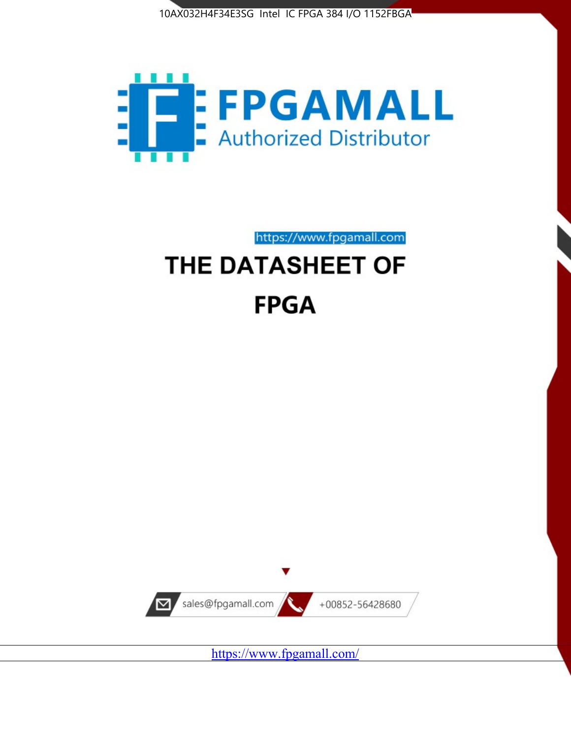



https://www.fpgamall.com

# THE DATASHEET OF **FPGA**



<https://www.fpgamall.com/>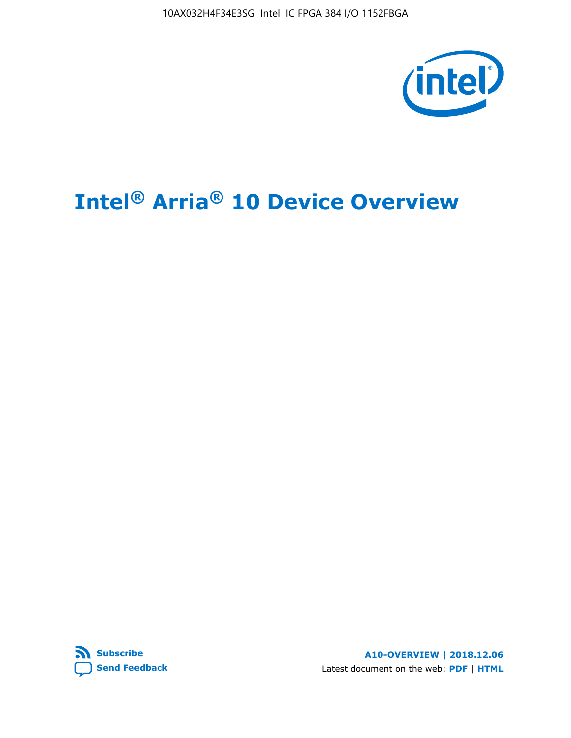10AX032H4F34E3SG Intel IC FPGA 384 I/O 1152FBGA



# **Intel® Arria® 10 Device Overview**



**A10-OVERVIEW | 2018.12.06** Latest document on the web: **[PDF](https://www.intel.com/content/dam/www/programmable/us/en/pdfs/literature/hb/arria-10/a10_overview.pdf)** | **[HTML](https://www.intel.com/content/www/us/en/programmable/documentation/sam1403480274650.html)**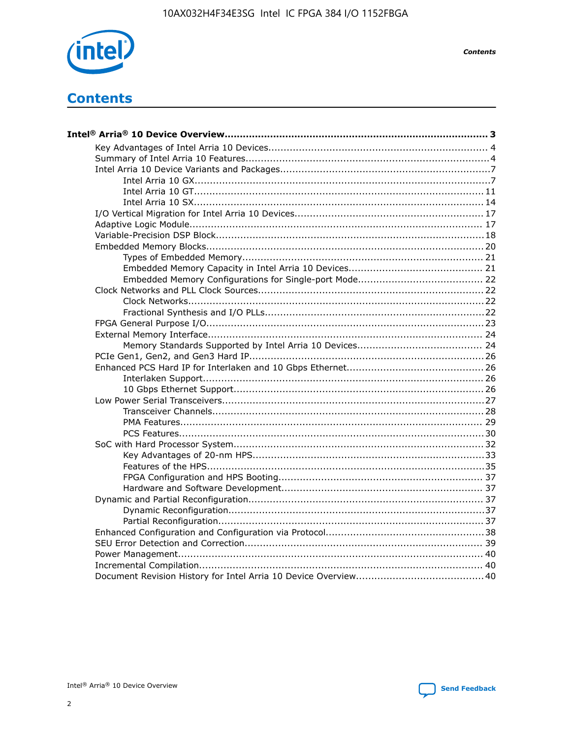

**Contents** 

# **Contents**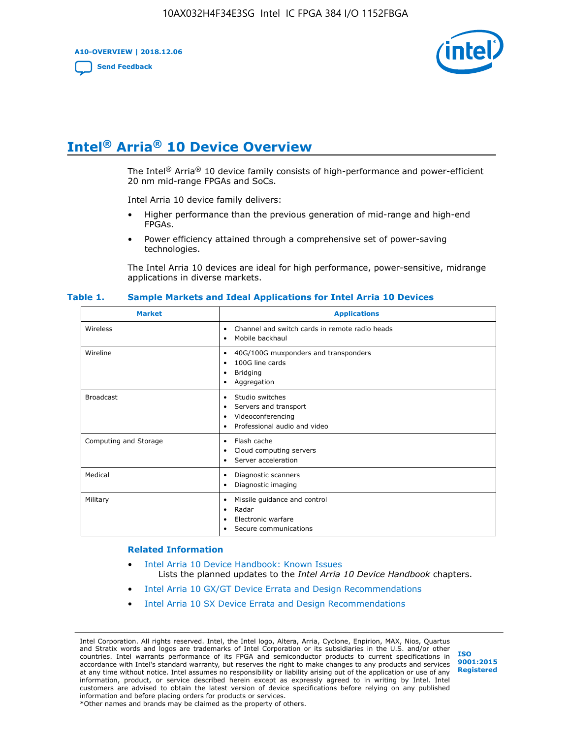**A10-OVERVIEW | 2018.12.06**

**[Send Feedback](mailto:FPGAtechdocfeedback@intel.com?subject=Feedback%20on%20Intel%20Arria%2010%20Device%20Overview%20(A10-OVERVIEW%202018.12.06)&body=We%20appreciate%20your%20feedback.%20In%20your%20comments,%20also%20specify%20the%20page%20number%20or%20paragraph.%20Thank%20you.)**



# **Intel® Arria® 10 Device Overview**

The Intel<sup>®</sup> Arria<sup>®</sup> 10 device family consists of high-performance and power-efficient 20 nm mid-range FPGAs and SoCs.

Intel Arria 10 device family delivers:

- Higher performance than the previous generation of mid-range and high-end FPGAs.
- Power efficiency attained through a comprehensive set of power-saving technologies.

The Intel Arria 10 devices are ideal for high performance, power-sensitive, midrange applications in diverse markets.

| <b>Market</b>         | <b>Applications</b>                                                                                               |
|-----------------------|-------------------------------------------------------------------------------------------------------------------|
| Wireless              | Channel and switch cards in remote radio heads<br>٠<br>Mobile backhaul<br>٠                                       |
| Wireline              | 40G/100G muxponders and transponders<br>٠<br>100G line cards<br>٠<br><b>Bridging</b><br>٠<br>Aggregation<br>٠     |
| <b>Broadcast</b>      | Studio switches<br>٠<br>Servers and transport<br>٠<br>Videoconferencing<br>٠<br>Professional audio and video<br>٠ |
| Computing and Storage | Flash cache<br>٠<br>Cloud computing servers<br>٠<br>Server acceleration<br>٠                                      |
| Medical               | Diagnostic scanners<br>٠<br>Diagnostic imaging<br>٠                                                               |
| Military              | Missile guidance and control<br>٠<br>Radar<br>٠<br>Electronic warfare<br>٠<br>Secure communications<br>٠          |

#### **Table 1. Sample Markets and Ideal Applications for Intel Arria 10 Devices**

#### **Related Information**

- [Intel Arria 10 Device Handbook: Known Issues](http://www.altera.com/support/kdb/solutions/rd07302013_646.html) Lists the planned updates to the *Intel Arria 10 Device Handbook* chapters.
- [Intel Arria 10 GX/GT Device Errata and Design Recommendations](https://www.intel.com/content/www/us/en/programmable/documentation/agz1493851706374.html#yqz1494433888646)
- [Intel Arria 10 SX Device Errata and Design Recommendations](https://www.intel.com/content/www/us/en/programmable/documentation/cru1462832385668.html#cru1462832558642)

Intel Corporation. All rights reserved. Intel, the Intel logo, Altera, Arria, Cyclone, Enpirion, MAX, Nios, Quartus and Stratix words and logos are trademarks of Intel Corporation or its subsidiaries in the U.S. and/or other countries. Intel warrants performance of its FPGA and semiconductor products to current specifications in accordance with Intel's standard warranty, but reserves the right to make changes to any products and services at any time without notice. Intel assumes no responsibility or liability arising out of the application or use of any information, product, or service described herein except as expressly agreed to in writing by Intel. Intel customers are advised to obtain the latest version of device specifications before relying on any published information and before placing orders for products or services. \*Other names and brands may be claimed as the property of others.

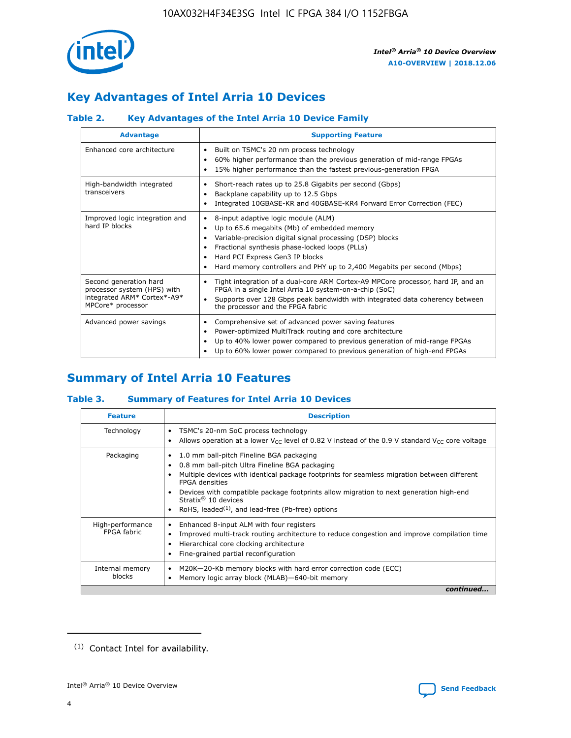

# **Key Advantages of Intel Arria 10 Devices**

# **Table 2. Key Advantages of the Intel Arria 10 Device Family**

| <b>Advantage</b>                                                                                          | <b>Supporting Feature</b>                                                                                                                                                                                                                                                                                                     |
|-----------------------------------------------------------------------------------------------------------|-------------------------------------------------------------------------------------------------------------------------------------------------------------------------------------------------------------------------------------------------------------------------------------------------------------------------------|
| Enhanced core architecture                                                                                | Built on TSMC's 20 nm process technology<br>٠<br>60% higher performance than the previous generation of mid-range FPGAs<br>٠<br>15% higher performance than the fastest previous-generation FPGA<br>٠                                                                                                                         |
| High-bandwidth integrated<br>transceivers                                                                 | Short-reach rates up to 25.8 Gigabits per second (Gbps)<br>٠<br>Backplane capability up to 12.5 Gbps<br>٠<br>Integrated 10GBASE-KR and 40GBASE-KR4 Forward Error Correction (FEC)<br>٠                                                                                                                                        |
| Improved logic integration and<br>hard IP blocks                                                          | 8-input adaptive logic module (ALM)<br>٠<br>Up to 65.6 megabits (Mb) of embedded memory<br>٠<br>Variable-precision digital signal processing (DSP) blocks<br>Fractional synthesis phase-locked loops (PLLs)<br>٠<br>Hard PCI Express Gen3 IP blocks<br>Hard memory controllers and PHY up to 2,400 Megabits per second (Mbps) |
| Second generation hard<br>processor system (HPS) with<br>integrated ARM* Cortex*-A9*<br>MPCore* processor | Tight integration of a dual-core ARM Cortex-A9 MPCore processor, hard IP, and an<br>٠<br>FPGA in a single Intel Arria 10 system-on-a-chip (SoC)<br>Supports over 128 Gbps peak bandwidth with integrated data coherency between<br>$\bullet$<br>the processor and the FPGA fabric                                             |
| Advanced power savings                                                                                    | Comprehensive set of advanced power saving features<br>٠<br>Power-optimized MultiTrack routing and core architecture<br>٠<br>Up to 40% lower power compared to previous generation of mid-range FPGAs<br>Up to 60% lower power compared to previous generation of high-end FPGAs<br>٠                                         |

# **Summary of Intel Arria 10 Features**

## **Table 3. Summary of Features for Intel Arria 10 Devices**

| <b>Feature</b>                  | <b>Description</b>                                                                                                                                                                                                                                                                                                                                                                                 |
|---------------------------------|----------------------------------------------------------------------------------------------------------------------------------------------------------------------------------------------------------------------------------------------------------------------------------------------------------------------------------------------------------------------------------------------------|
| Technology                      | TSMC's 20-nm SoC process technology<br>Allows operation at a lower $V_{\text{CC}}$ level of 0.82 V instead of the 0.9 V standard $V_{\text{CC}}$ core voltage                                                                                                                                                                                                                                      |
| Packaging                       | 1.0 mm ball-pitch Fineline BGA packaging<br>٠<br>0.8 mm ball-pitch Ultra Fineline BGA packaging<br>Multiple devices with identical package footprints for seamless migration between different<br><b>FPGA</b> densities<br>Devices with compatible package footprints allow migration to next generation high-end<br>Stratix $@10$ devices<br>RoHS, leaded $(1)$ , and lead-free (Pb-free) options |
| High-performance<br>FPGA fabric | Enhanced 8-input ALM with four registers<br>Improved multi-track routing architecture to reduce congestion and improve compilation time<br>Hierarchical core clocking architecture<br>Fine-grained partial reconfiguration                                                                                                                                                                         |
| Internal memory<br>blocks       | M20K-20-Kb memory blocks with hard error correction code (ECC)<br>Memory logic array block (MLAB)-640-bit memory                                                                                                                                                                                                                                                                                   |
|                                 | continued                                                                                                                                                                                                                                                                                                                                                                                          |



<sup>(1)</sup> Contact Intel for availability.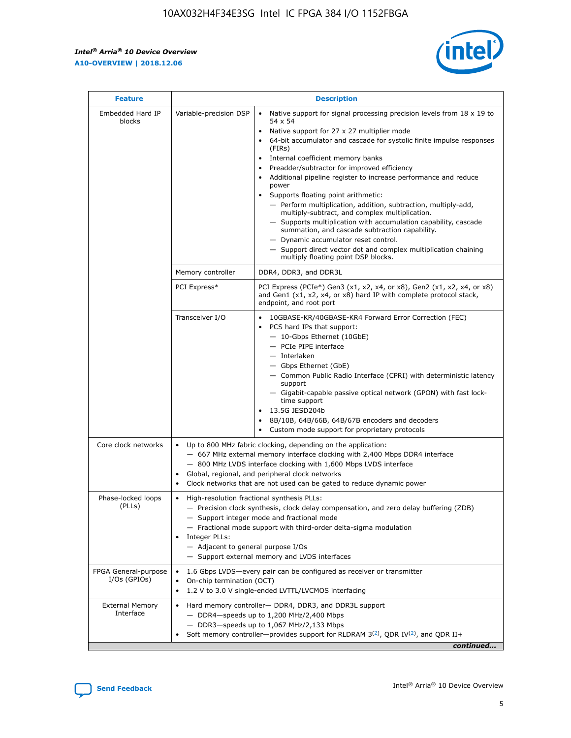$\mathbf{r}$ 



| <b>Feature</b>                         | <b>Description</b>                                                                                     |                                                                                                                                                                                                                                                                                                                                                                                                                                                                                                                                                                                                                                                                                                                                                                                                                                                                               |  |  |  |  |  |
|----------------------------------------|--------------------------------------------------------------------------------------------------------|-------------------------------------------------------------------------------------------------------------------------------------------------------------------------------------------------------------------------------------------------------------------------------------------------------------------------------------------------------------------------------------------------------------------------------------------------------------------------------------------------------------------------------------------------------------------------------------------------------------------------------------------------------------------------------------------------------------------------------------------------------------------------------------------------------------------------------------------------------------------------------|--|--|--|--|--|
| Embedded Hard IP<br>blocks             | Variable-precision DSP                                                                                 | Native support for signal processing precision levels from $18 \times 19$ to<br>$\bullet$<br>54 x 54<br>Native support for 27 x 27 multiplier mode<br>$\bullet$<br>64-bit accumulator and cascade for systolic finite impulse responses<br>$\bullet$<br>(FIRs)<br>Internal coefficient memory banks<br>$\bullet$<br>Preadder/subtractor for improved efficiency<br>Additional pipeline register to increase performance and reduce<br>power<br>Supports floating point arithmetic:<br>- Perform multiplication, addition, subtraction, multiply-add,<br>multiply-subtract, and complex multiplication.<br>- Supports multiplication with accumulation capability, cascade<br>summation, and cascade subtraction capability.<br>- Dynamic accumulator reset control.<br>- Support direct vector dot and complex multiplication chaining<br>multiply floating point DSP blocks. |  |  |  |  |  |
|                                        | Memory controller                                                                                      | DDR4, DDR3, and DDR3L                                                                                                                                                                                                                                                                                                                                                                                                                                                                                                                                                                                                                                                                                                                                                                                                                                                         |  |  |  |  |  |
|                                        | PCI Express*                                                                                           | PCI Express (PCIe*) Gen3 (x1, x2, x4, or x8), Gen2 (x1, x2, x4, or x8)<br>and Gen1 (x1, x2, x4, or x8) hard IP with complete protocol stack,<br>endpoint, and root port                                                                                                                                                                                                                                                                                                                                                                                                                                                                                                                                                                                                                                                                                                       |  |  |  |  |  |
|                                        | Transceiver I/O                                                                                        | 10GBASE-KR/40GBASE-KR4 Forward Error Correction (FEC)<br>PCS hard IPs that support:<br>٠<br>- 10-Gbps Ethernet (10GbE)<br>- PCIe PIPE interface<br>- Interlaken<br>- Gbps Ethernet (GbE)<br>- Common Public Radio Interface (CPRI) with deterministic latency<br>support<br>- Gigabit-capable passive optical network (GPON) with fast lock-<br>time support<br>13.5G JESD204b<br>$\bullet$<br>8B/10B, 64B/66B, 64B/67B encoders and decoders<br>$\bullet$<br>Custom mode support for proprietary protocols                                                                                                                                                                                                                                                                                                                                                                   |  |  |  |  |  |
| Core clock networks                    | $\bullet$                                                                                              | Up to 800 MHz fabric clocking, depending on the application:<br>- 667 MHz external memory interface clocking with 2,400 Mbps DDR4 interface<br>- 800 MHz LVDS interface clocking with 1,600 Mbps LVDS interface<br>Global, regional, and peripheral clock networks<br>Clock networks that are not used can be gated to reduce dynamic power                                                                                                                                                                                                                                                                                                                                                                                                                                                                                                                                   |  |  |  |  |  |
| Phase-locked loops<br>(PLLs)           | High-resolution fractional synthesis PLLs:<br>٠<br>Integer PLLs:<br>- Adjacent to general purpose I/Os | - Precision clock synthesis, clock delay compensation, and zero delay buffering (ZDB)<br>- Support integer mode and fractional mode<br>- Fractional mode support with third-order delta-sigma modulation<br>- Support external memory and LVDS interfaces                                                                                                                                                                                                                                                                                                                                                                                                                                                                                                                                                                                                                     |  |  |  |  |  |
| FPGA General-purpose<br>$I/Os$ (GPIOs) | On-chip termination (OCT)<br>٠                                                                         | 1.6 Gbps LVDS-every pair can be configured as receiver or transmitter<br>1.2 V to 3.0 V single-ended LVTTL/LVCMOS interfacing                                                                                                                                                                                                                                                                                                                                                                                                                                                                                                                                                                                                                                                                                                                                                 |  |  |  |  |  |
| <b>External Memory</b><br>Interface    | $\bullet$                                                                                              | Hard memory controller- DDR4, DDR3, and DDR3L support<br>$-$ DDR4 $-$ speeds up to 1,200 MHz/2,400 Mbps<br>- DDR3-speeds up to 1,067 MHz/2,133 Mbps<br>Soft memory controller—provides support for RLDRAM $3^{(2)}$ , QDR IV $^{(2)}$ , and QDR II+<br>continued                                                                                                                                                                                                                                                                                                                                                                                                                                                                                                                                                                                                              |  |  |  |  |  |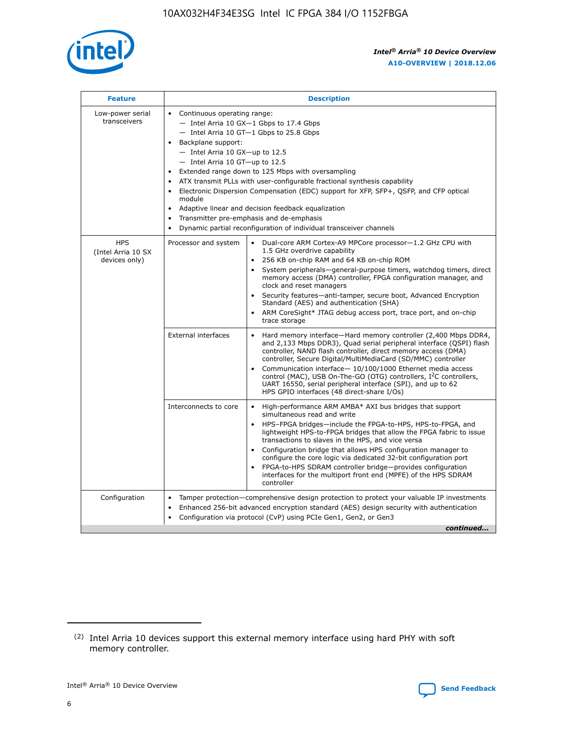

| <b>Feature</b>                                    | <b>Description</b>                                                                                                                                                                                                                                                                                                                                                                                                                                                                                                                                                                                                                           |  |  |  |  |  |  |  |
|---------------------------------------------------|----------------------------------------------------------------------------------------------------------------------------------------------------------------------------------------------------------------------------------------------------------------------------------------------------------------------------------------------------------------------------------------------------------------------------------------------------------------------------------------------------------------------------------------------------------------------------------------------------------------------------------------------|--|--|--|--|--|--|--|
| Low-power serial<br>transceivers                  | • Continuous operating range:<br>- Intel Arria 10 GX-1 Gbps to 17.4 Gbps<br>- Intel Arria 10 GT-1 Gbps to 25.8 Gbps<br>Backplane support:<br>$-$ Intel Arria 10 GX-up to 12.5<br>$-$ Intel Arria 10 GT-up to 12.5<br>Extended range down to 125 Mbps with oversampling<br>ATX transmit PLLs with user-configurable fractional synthesis capability<br>Electronic Dispersion Compensation (EDC) support for XFP, SFP+, QSFP, and CFP optical<br>module<br>• Adaptive linear and decision feedback equalization<br>Transmitter pre-emphasis and de-emphasis<br>$\bullet$<br>Dynamic partial reconfiguration of individual transceiver channels |  |  |  |  |  |  |  |
| <b>HPS</b><br>(Intel Arria 10 SX<br>devices only) | Dual-core ARM Cortex-A9 MPCore processor-1.2 GHz CPU with<br>Processor and system<br>$\bullet$<br>1.5 GHz overdrive capability<br>256 KB on-chip RAM and 64 KB on-chip ROM<br>System peripherals-general-purpose timers, watchdog timers, direct<br>memory access (DMA) controller, FPGA configuration manager, and<br>clock and reset managers<br>Security features-anti-tamper, secure boot, Advanced Encryption<br>$\bullet$<br>Standard (AES) and authentication (SHA)<br>ARM CoreSight* JTAG debug access port, trace port, and on-chip<br>trace storage                                                                                |  |  |  |  |  |  |  |
|                                                   | <b>External interfaces</b><br>Hard memory interface-Hard memory controller (2,400 Mbps DDR4,<br>$\bullet$<br>and 2,133 Mbps DDR3), Quad serial peripheral interface (QSPI) flash<br>controller, NAND flash controller, direct memory access (DMA)<br>controller, Secure Digital/MultiMediaCard (SD/MMC) controller<br>Communication interface-10/100/1000 Ethernet media access<br>$\bullet$<br>control (MAC), USB On-The-GO (OTG) controllers, I <sup>2</sup> C controllers,<br>UART 16550, serial peripheral interface (SPI), and up to 62<br>HPS GPIO interfaces (48 direct-share I/Os)                                                   |  |  |  |  |  |  |  |
|                                                   | High-performance ARM AMBA* AXI bus bridges that support<br>Interconnects to core<br>$\bullet$<br>simultaneous read and write<br>HPS-FPGA bridges-include the FPGA-to-HPS, HPS-to-FPGA, and<br>$\bullet$<br>lightweight HPS-to-FPGA bridges that allow the FPGA fabric to issue<br>transactions to slaves in the HPS, and vice versa<br>Configuration bridge that allows HPS configuration manager to<br>configure the core logic via dedicated 32-bit configuration port<br>FPGA-to-HPS SDRAM controller bridge-provides configuration<br>interfaces for the multiport front end (MPFE) of the HPS SDRAM<br>controller                       |  |  |  |  |  |  |  |
| Configuration                                     | Tamper protection—comprehensive design protection to protect your valuable IP investments<br>Enhanced 256-bit advanced encryption standard (AES) design security with authentication<br>٠<br>Configuration via protocol (CvP) using PCIe Gen1, Gen2, or Gen3<br>continued                                                                                                                                                                                                                                                                                                                                                                    |  |  |  |  |  |  |  |

<sup>(2)</sup> Intel Arria 10 devices support this external memory interface using hard PHY with soft memory controller.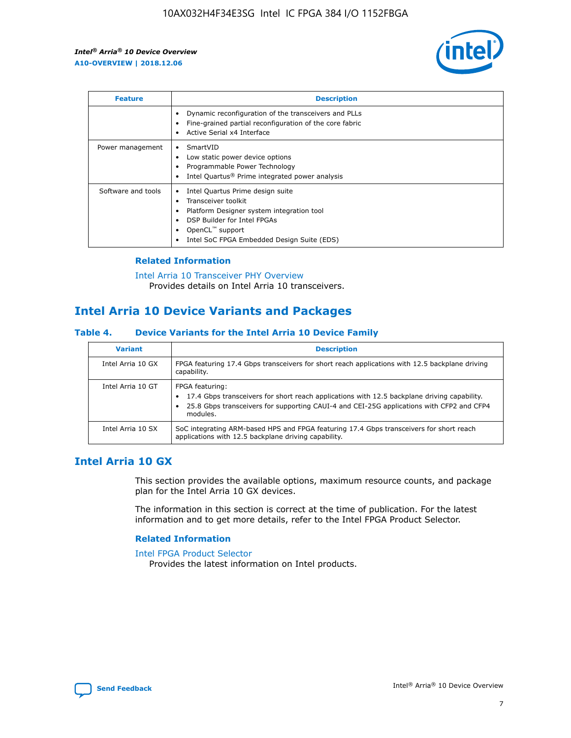

| <b>Feature</b>     | <b>Description</b>                                                                                                                                                                                               |
|--------------------|------------------------------------------------------------------------------------------------------------------------------------------------------------------------------------------------------------------|
|                    | Dynamic reconfiguration of the transceivers and PLLs<br>Fine-grained partial reconfiguration of the core fabric<br>Active Serial x4 Interface<br>$\bullet$                                                       |
| Power management   | SmartVID<br>Low static power device options<br>Programmable Power Technology<br>Intel Quartus <sup>®</sup> Prime integrated power analysis                                                                       |
| Software and tools | Intel Quartus Prime design suite<br>Transceiver toolkit<br>Platform Designer system integration tool<br>DSP Builder for Intel FPGAs<br>OpenCL <sup>™</sup> support<br>Intel SoC FPGA Embedded Design Suite (EDS) |

## **Related Information**

[Intel Arria 10 Transceiver PHY Overview](https://www.intel.com/content/www/us/en/programmable/documentation/nik1398707230472.html#nik1398706768037) Provides details on Intel Arria 10 transceivers.

# **Intel Arria 10 Device Variants and Packages**

#### **Table 4. Device Variants for the Intel Arria 10 Device Family**

| <b>Variant</b>    | <b>Description</b>                                                                                                                                                                                                     |
|-------------------|------------------------------------------------------------------------------------------------------------------------------------------------------------------------------------------------------------------------|
| Intel Arria 10 GX | FPGA featuring 17.4 Gbps transceivers for short reach applications with 12.5 backplane driving<br>capability.                                                                                                          |
| Intel Arria 10 GT | FPGA featuring:<br>17.4 Gbps transceivers for short reach applications with 12.5 backplane driving capability.<br>25.8 Gbps transceivers for supporting CAUI-4 and CEI-25G applications with CFP2 and CFP4<br>modules. |
| Intel Arria 10 SX | SoC integrating ARM-based HPS and FPGA featuring 17.4 Gbps transceivers for short reach<br>applications with 12.5 backplane driving capability.                                                                        |

# **Intel Arria 10 GX**

This section provides the available options, maximum resource counts, and package plan for the Intel Arria 10 GX devices.

The information in this section is correct at the time of publication. For the latest information and to get more details, refer to the Intel FPGA Product Selector.

#### **Related Information**

#### [Intel FPGA Product Selector](http://www.altera.com/products/selector/psg-selector.html) Provides the latest information on Intel products.

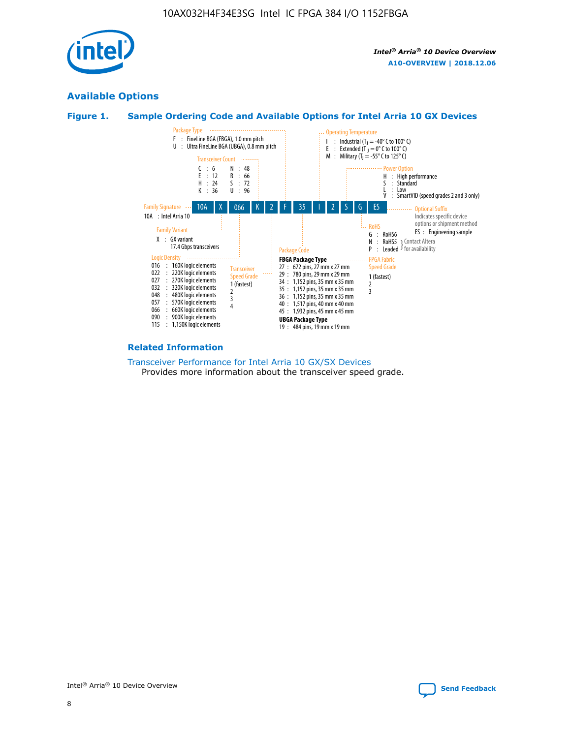

# **Available Options**





#### **Related Information**

[Transceiver Performance for Intel Arria 10 GX/SX Devices](https://www.intel.com/content/www/us/en/programmable/documentation/mcn1413182292568.html#mcn1413213965502) Provides more information about the transceiver speed grade.

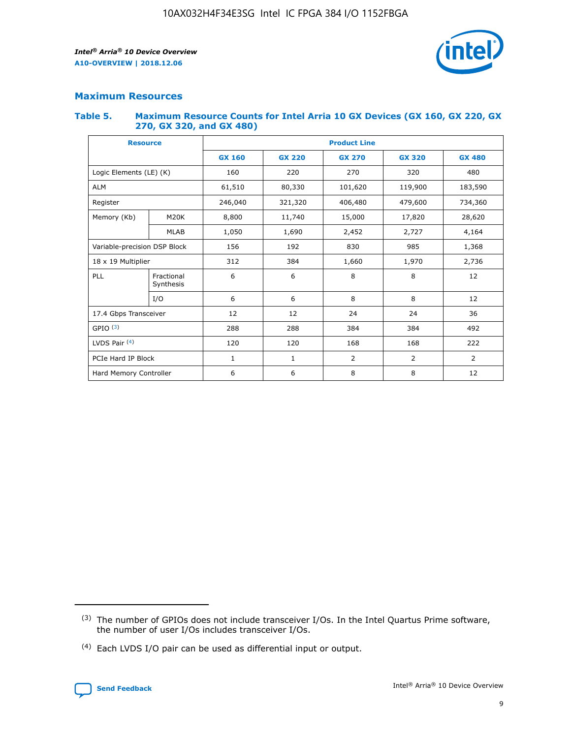

## **Maximum Resources**

#### **Table 5. Maximum Resource Counts for Intel Arria 10 GX Devices (GX 160, GX 220, GX 270, GX 320, and GX 480)**

| <b>Resource</b>              |                         | <b>Product Line</b> |                                                 |                    |                |                |  |  |  |
|------------------------------|-------------------------|---------------------|-------------------------------------------------|--------------------|----------------|----------------|--|--|--|
|                              |                         | <b>GX 160</b>       | <b>GX 220</b><br><b>GX 270</b><br><b>GX 320</b> |                    |                | <b>GX 480</b>  |  |  |  |
| Logic Elements (LE) (K)      |                         | 160                 | 220<br>270                                      |                    | 320            | 480            |  |  |  |
| <b>ALM</b>                   |                         | 61,510              | 80,330                                          | 101,620            | 119,900        | 183,590        |  |  |  |
| Register                     |                         | 246,040             | 321,320                                         | 406,480<br>479,600 |                | 734,360        |  |  |  |
| Memory (Kb)                  | M <sub>20</sub> K       | 8,800               | 11,740                                          | 15,000             | 17,820         | 28,620         |  |  |  |
|                              | <b>MLAB</b>             | 1,050               | 1,690                                           | 2,452<br>2,727     |                | 4,164          |  |  |  |
| Variable-precision DSP Block |                         | 156                 | 192                                             | 830                | 985            | 1,368          |  |  |  |
| 18 x 19 Multiplier           |                         | 312                 | 384                                             | 1,660<br>1,970     |                | 2,736          |  |  |  |
| PLL                          | Fractional<br>Synthesis | 6                   | 6                                               | 8                  | 8              | 12             |  |  |  |
|                              | I/O                     | 6                   | 6                                               | 8                  | 8              | 12             |  |  |  |
| 17.4 Gbps Transceiver        |                         | 12                  | 12                                              | 24                 | 24             | 36             |  |  |  |
| GPIO <sup>(3)</sup>          |                         | 288                 | 288                                             | 384                | 384            | 492            |  |  |  |
| LVDS Pair $(4)$              |                         | 120                 | 120                                             | 168                | 168            | 222            |  |  |  |
| PCIe Hard IP Block           |                         | $\mathbf{1}$        | 1                                               | $\overline{2}$     | $\overline{2}$ | $\overline{2}$ |  |  |  |
| Hard Memory Controller       |                         | 6                   | 6                                               | 8                  | 8              |                |  |  |  |

<sup>(4)</sup> Each LVDS I/O pair can be used as differential input or output.



<sup>(3)</sup> The number of GPIOs does not include transceiver I/Os. In the Intel Quartus Prime software, the number of user I/Os includes transceiver I/Os.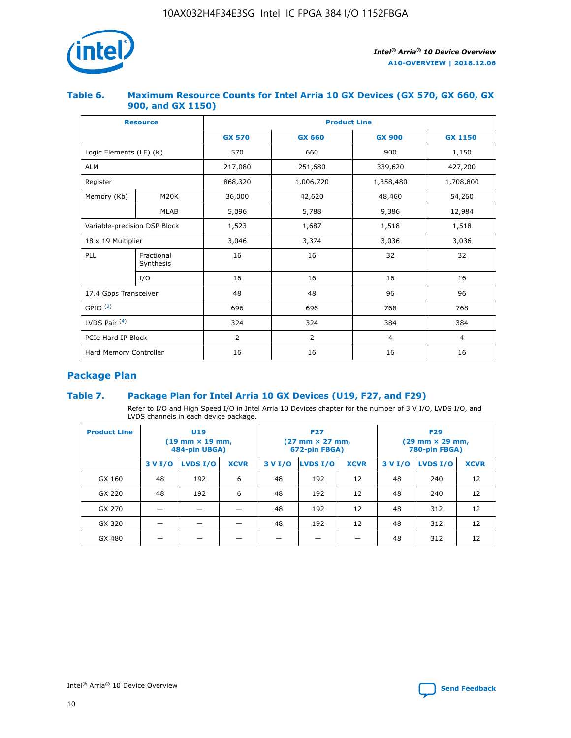

## **Table 6. Maximum Resource Counts for Intel Arria 10 GX Devices (GX 570, GX 660, GX 900, and GX 1150)**

|                              | <b>Resource</b>         | <b>Product Line</b> |               |                |                |  |  |  |  |
|------------------------------|-------------------------|---------------------|---------------|----------------|----------------|--|--|--|--|
|                              |                         | <b>GX 570</b>       | <b>GX 660</b> | <b>GX 900</b>  | <b>GX 1150</b> |  |  |  |  |
| Logic Elements (LE) (K)      |                         | 570                 | 660           | 900            | 1,150          |  |  |  |  |
| <b>ALM</b>                   |                         | 217,080             | 251,680       | 339,620        | 427,200        |  |  |  |  |
| Register                     |                         | 868,320             | 1,006,720     |                | 1,708,800      |  |  |  |  |
| Memory (Kb)                  | <b>M20K</b>             | 36,000              | 42,620        | 48,460         | 54,260         |  |  |  |  |
|                              | <b>MLAB</b>             | 5,096               | 5,788         | 9,386          | 12,984         |  |  |  |  |
| Variable-precision DSP Block |                         | 1,523               | 1,687         | 1,518          | 1,518          |  |  |  |  |
| $18 \times 19$ Multiplier    |                         | 3,046               | 3,374         | 3,036          | 3,036          |  |  |  |  |
| PLL                          | Fractional<br>Synthesis | 16                  | 16            | 32             | 32             |  |  |  |  |
|                              | I/O                     | 16                  | 16            | 16             | 16             |  |  |  |  |
| 17.4 Gbps Transceiver        |                         | 48                  | 96<br>48      |                | 96             |  |  |  |  |
| GPIO <sup>(3)</sup>          |                         | 696                 | 696           | 768            | 768            |  |  |  |  |
| LVDS Pair $(4)$              |                         | 324                 | 324<br>384    |                | 384            |  |  |  |  |
| PCIe Hard IP Block           |                         | 2                   | 2             | $\overline{4}$ | $\overline{4}$ |  |  |  |  |
| Hard Memory Controller       |                         | 16                  | 16            | 16             | 16             |  |  |  |  |

# **Package Plan**

# **Table 7. Package Plan for Intel Arria 10 GX Devices (U19, F27, and F29)**

Refer to I/O and High Speed I/O in Intel Arria 10 Devices chapter for the number of 3 V I/O, LVDS I/O, and LVDS channels in each device package.

| <b>Product Line</b> | U <sub>19</sub><br>$(19 \text{ mm} \times 19 \text{ mm})$<br>484-pin UBGA) |          |             |         | <b>F27</b><br>(27 mm × 27 mm,<br>672-pin FBGA) |             | <b>F29</b><br>(29 mm × 29 mm,<br>780-pin FBGA) |          |             |  |
|---------------------|----------------------------------------------------------------------------|----------|-------------|---------|------------------------------------------------|-------------|------------------------------------------------|----------|-------------|--|
|                     | 3 V I/O                                                                    | LVDS I/O | <b>XCVR</b> | 3 V I/O | <b>LVDS I/O</b>                                | <b>XCVR</b> | 3 V I/O                                        | LVDS I/O | <b>XCVR</b> |  |
| GX 160              | 48                                                                         | 192      | 6           | 48      | 192                                            | 12          | 48                                             | 240      | 12          |  |
| GX 220              | 48                                                                         | 192      | 6           | 48      | 192                                            | 12          | 48                                             | 240      | 12          |  |
| GX 270              |                                                                            |          |             | 48      | 192                                            | 12          | 48                                             | 312      | 12          |  |
| GX 320              |                                                                            |          |             | 48      | 192                                            | 12          | 48                                             | 312      | 12          |  |
| GX 480              |                                                                            |          |             |         |                                                |             | 48                                             | 312      | 12          |  |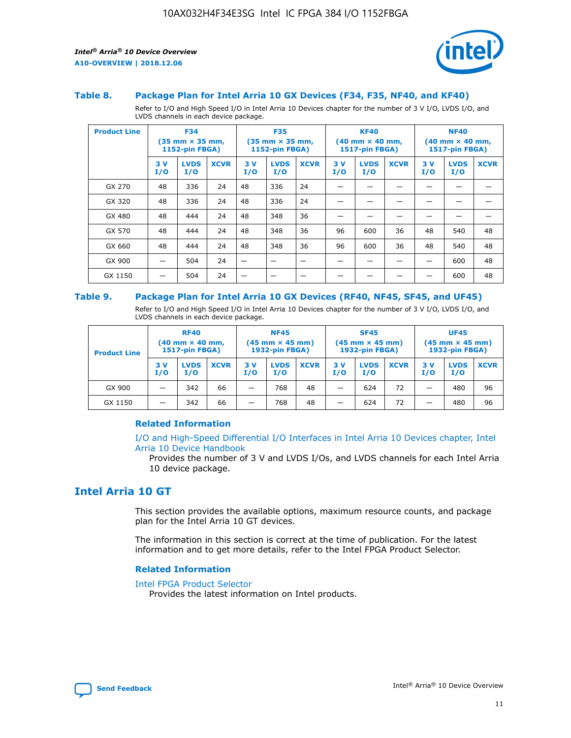

#### **Table 8. Package Plan for Intel Arria 10 GX Devices (F34, F35, NF40, and KF40)**

Refer to I/O and High Speed I/O in Intel Arria 10 Devices chapter for the number of 3 V I/O, LVDS I/O, and LVDS channels in each device package.

| <b>Product Line</b> | <b>F34</b><br>$(35 \text{ mm} \times 35 \text{ mm})$<br>1152-pin FBGA) |                    | <b>F35</b><br>$(35 \text{ mm} \times 35 \text{ mm})$<br><b>1152-pin FBGA)</b> |           | <b>KF40</b><br>$(40$ mm $\times$ 40 mm,<br>1517-pin FBGA) |             |           | <b>NF40</b><br>$(40$ mm $\times$ 40 mm,<br><b>1517-pin FBGA)</b> |             |            |                    |             |
|---------------------|------------------------------------------------------------------------|--------------------|-------------------------------------------------------------------------------|-----------|-----------------------------------------------------------|-------------|-----------|------------------------------------------------------------------|-------------|------------|--------------------|-------------|
|                     | 3V<br>I/O                                                              | <b>LVDS</b><br>I/O | <b>XCVR</b>                                                                   | 3V<br>I/O | <b>LVDS</b><br>I/O                                        | <b>XCVR</b> | 3V<br>I/O | <b>LVDS</b><br>I/O                                               | <b>XCVR</b> | 3 V<br>I/O | <b>LVDS</b><br>I/O | <b>XCVR</b> |
| GX 270              | 48                                                                     | 336                | 24                                                                            | 48        | 336                                                       | 24          |           |                                                                  |             |            |                    |             |
| GX 320              | 48                                                                     | 336                | 24                                                                            | 48        | 336                                                       | 24          |           |                                                                  |             |            |                    |             |
| GX 480              | 48                                                                     | 444                | 24                                                                            | 48        | 348                                                       | 36          |           |                                                                  |             |            |                    |             |
| GX 570              | 48                                                                     | 444                | 24                                                                            | 48        | 348                                                       | 36          | 96        | 600                                                              | 36          | 48         | 540                | 48          |
| GX 660              | 48                                                                     | 444                | 24                                                                            | 48        | 348                                                       | 36          | 96        | 600                                                              | 36          | 48         | 540                | 48          |
| GX 900              |                                                                        | 504                | 24                                                                            | -         |                                                           |             |           |                                                                  |             |            | 600                | 48          |
| GX 1150             |                                                                        | 504                | 24                                                                            |           |                                                           |             |           |                                                                  |             |            | 600                | 48          |

#### **Table 9. Package Plan for Intel Arria 10 GX Devices (RF40, NF45, SF45, and UF45)**

Refer to I/O and High Speed I/O in Intel Arria 10 Devices chapter for the number of 3 V I/O, LVDS I/O, and LVDS channels in each device package.

| <b>Product Line</b> | <b>RF40</b><br>$(40$ mm $\times$ 40 mm,<br>1517-pin FBGA) |                    | <b>NF45</b><br>$(45 \text{ mm} \times 45 \text{ mm})$<br><b>1932-pin FBGA)</b> |            |                    | <b>SF45</b><br>$(45 \text{ mm} \times 45 \text{ mm})$<br><b>1932-pin FBGA)</b> |            |                    | <b>UF45</b><br>$(45 \text{ mm} \times 45 \text{ mm})$<br><b>1932-pin FBGA)</b> |           |                    |             |
|---------------------|-----------------------------------------------------------|--------------------|--------------------------------------------------------------------------------|------------|--------------------|--------------------------------------------------------------------------------|------------|--------------------|--------------------------------------------------------------------------------|-----------|--------------------|-------------|
|                     | 3V<br>I/O                                                 | <b>LVDS</b><br>I/O | <b>XCVR</b>                                                                    | 3 V<br>I/O | <b>LVDS</b><br>I/O | <b>XCVR</b>                                                                    | 3 V<br>I/O | <b>LVDS</b><br>I/O | <b>XCVR</b>                                                                    | 3V<br>I/O | <b>LVDS</b><br>I/O | <b>XCVR</b> |
| GX 900              |                                                           | 342                | 66                                                                             | _          | 768                | 48                                                                             |            | 624                | 72                                                                             |           | 480                | 96          |
| GX 1150             |                                                           | 342                | 66                                                                             | _          | 768                | 48                                                                             |            | 624                | 72                                                                             |           | 480                | 96          |

## **Related Information**

[I/O and High-Speed Differential I/O Interfaces in Intel Arria 10 Devices chapter, Intel](https://www.intel.com/content/www/us/en/programmable/documentation/sam1403482614086.html#sam1403482030321) [Arria 10 Device Handbook](https://www.intel.com/content/www/us/en/programmable/documentation/sam1403482614086.html#sam1403482030321)

Provides the number of 3 V and LVDS I/Os, and LVDS channels for each Intel Arria 10 device package.

# **Intel Arria 10 GT**

This section provides the available options, maximum resource counts, and package plan for the Intel Arria 10 GT devices.

The information in this section is correct at the time of publication. For the latest information and to get more details, refer to the Intel FPGA Product Selector.

#### **Related Information**

#### [Intel FPGA Product Selector](http://www.altera.com/products/selector/psg-selector.html)

Provides the latest information on Intel products.

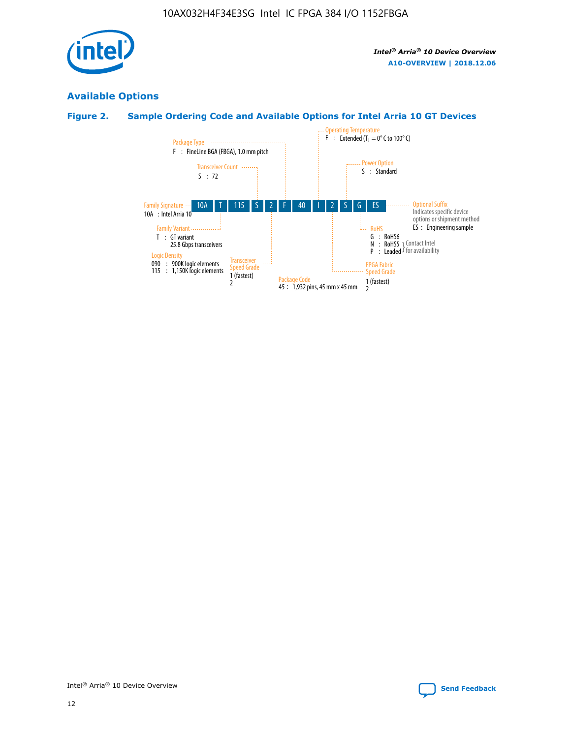

# **Available Options**

# **Figure 2. Sample Ordering Code and Available Options for Intel Arria 10 GT Devices**

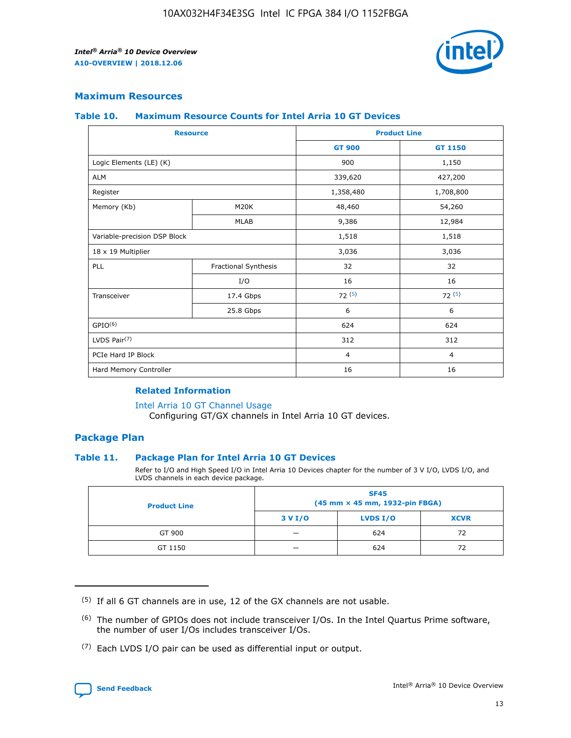

## **Maximum Resources**

#### **Table 10. Maximum Resource Counts for Intel Arria 10 GT Devices**

| <b>Resource</b>              |                      |                | <b>Product Line</b> |  |
|------------------------------|----------------------|----------------|---------------------|--|
|                              |                      | <b>GT 900</b>  | <b>GT 1150</b>      |  |
| Logic Elements (LE) (K)      |                      | 900            | 1,150               |  |
| <b>ALM</b>                   |                      | 339,620        | 427,200             |  |
| Register                     |                      | 1,358,480      | 1,708,800           |  |
| Memory (Kb)                  | M <sub>20</sub> K    | 48,460         | 54,260              |  |
|                              | <b>MLAB</b>          | 9,386          | 12,984              |  |
| Variable-precision DSP Block |                      | 1,518          | 1,518               |  |
| 18 x 19 Multiplier           |                      | 3,036          | 3,036               |  |
| PLL                          | Fractional Synthesis | 32             | 32                  |  |
|                              | I/O                  | 16             | 16                  |  |
| Transceiver                  | 17.4 Gbps            | 72(5)          | 72(5)               |  |
|                              | 25.8 Gbps            | 6              | 6                   |  |
| GPIO <sup>(6)</sup>          |                      | 624            | 624                 |  |
| LVDS Pair $(7)$              |                      | 312            | 312                 |  |
| PCIe Hard IP Block           |                      | $\overline{4}$ | $\overline{4}$      |  |
| Hard Memory Controller       |                      | 16             | 16                  |  |

## **Related Information**

#### [Intel Arria 10 GT Channel Usage](https://www.intel.com/content/www/us/en/programmable/documentation/nik1398707230472.html#nik1398707008178)

Configuring GT/GX channels in Intel Arria 10 GT devices.

## **Package Plan**

## **Table 11. Package Plan for Intel Arria 10 GT Devices**

Refer to I/O and High Speed I/O in Intel Arria 10 Devices chapter for the number of 3 V I/O, LVDS I/O, and LVDS channels in each device package.

| <b>Product Line</b> | <b>SF45</b><br>(45 mm × 45 mm, 1932-pin FBGA) |                 |             |  |  |  |
|---------------------|-----------------------------------------------|-----------------|-------------|--|--|--|
|                     | 3 V I/O                                       | <b>LVDS I/O</b> | <b>XCVR</b> |  |  |  |
| GT 900              |                                               | 624             | 72          |  |  |  |
| GT 1150             |                                               | 624             |             |  |  |  |

<sup>(7)</sup> Each LVDS I/O pair can be used as differential input or output.



 $(5)$  If all 6 GT channels are in use, 12 of the GX channels are not usable.

<sup>(6)</sup> The number of GPIOs does not include transceiver I/Os. In the Intel Quartus Prime software, the number of user I/Os includes transceiver I/Os.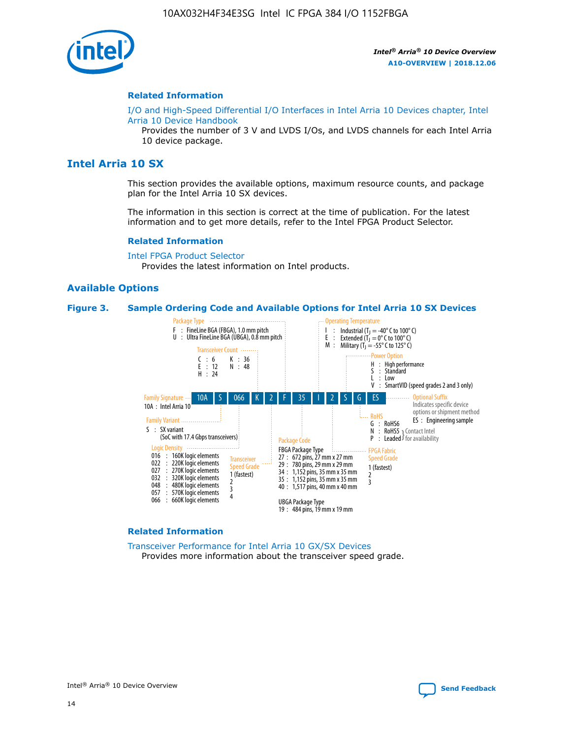

#### **Related Information**

[I/O and High-Speed Differential I/O Interfaces in Intel Arria 10 Devices chapter, Intel](https://www.intel.com/content/www/us/en/programmable/documentation/sam1403482614086.html#sam1403482030321) [Arria 10 Device Handbook](https://www.intel.com/content/www/us/en/programmable/documentation/sam1403482614086.html#sam1403482030321)

Provides the number of 3 V and LVDS I/Os, and LVDS channels for each Intel Arria 10 device package.

# **Intel Arria 10 SX**

This section provides the available options, maximum resource counts, and package plan for the Intel Arria 10 SX devices.

The information in this section is correct at the time of publication. For the latest information and to get more details, refer to the Intel FPGA Product Selector.

#### **Related Information**

[Intel FPGA Product Selector](http://www.altera.com/products/selector/psg-selector.html) Provides the latest information on Intel products.

## **Available Options**

#### **Figure 3. Sample Ordering Code and Available Options for Intel Arria 10 SX Devices**



#### **Related Information**

[Transceiver Performance for Intel Arria 10 GX/SX Devices](https://www.intel.com/content/www/us/en/programmable/documentation/mcn1413182292568.html#mcn1413213965502) Provides more information about the transceiver speed grade.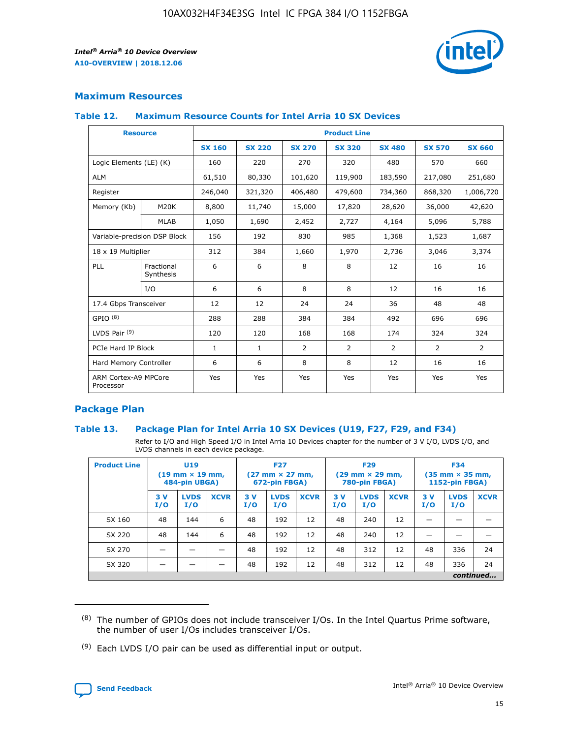

# **Maximum Resources**

## **Table 12. Maximum Resource Counts for Intel Arria 10 SX Devices**

| <b>Resource</b>                   |                         | <b>Product Line</b> |               |                |                |                |                |                |  |  |  |
|-----------------------------------|-------------------------|---------------------|---------------|----------------|----------------|----------------|----------------|----------------|--|--|--|
|                                   |                         | <b>SX 160</b>       | <b>SX 220</b> | <b>SX 270</b>  | <b>SX 320</b>  | <b>SX 480</b>  | <b>SX 570</b>  | <b>SX 660</b>  |  |  |  |
| Logic Elements (LE) (K)           |                         | 160                 | 220           | 270            | 320            | 480            | 570            | 660            |  |  |  |
| <b>ALM</b>                        |                         | 61,510              | 80,330        | 101,620        | 119,900        | 183,590        | 217,080        | 251,680        |  |  |  |
| Register                          |                         | 246,040             | 321,320       | 406,480        | 479,600        | 734,360        | 868,320        | 1,006,720      |  |  |  |
| Memory (Kb)                       | M <sub>20</sub> K       | 8,800               | 11,740        | 15,000         | 17,820         | 28,620         | 36,000         | 42,620         |  |  |  |
|                                   | <b>MLAB</b>             | 1,050               | 1,690         | 2,452          | 2,727          | 4,164          | 5,096          | 5,788          |  |  |  |
| Variable-precision DSP Block      |                         | 156                 | 192           | 830            | 985            | 1,368          | 1,523          | 1,687          |  |  |  |
| 18 x 19 Multiplier                |                         | 312                 | 384           | 1,660          | 1,970          | 2,736          | 3,046          | 3,374          |  |  |  |
| PLL                               | Fractional<br>Synthesis | 6                   | 6             | 8              | 8              | 12             | 16             | 16             |  |  |  |
|                                   | I/O                     | 6                   | 6             | 8              | 8              | 12             | 16             | 16             |  |  |  |
| 17.4 Gbps Transceiver             |                         | 12                  | 12            | 24             | 24             | 36             | 48             | 48             |  |  |  |
| GPIO <sup>(8)</sup>               |                         | 288                 | 288           | 384            | 384            | 492            | 696            | 696            |  |  |  |
| LVDS Pair $(9)$                   |                         | 120                 | 120           | 168            | 168            | 174            | 324            | 324            |  |  |  |
|                                   | PCIe Hard IP Block      |                     | $\mathbf{1}$  | $\overline{2}$ | $\overline{2}$ | $\overline{2}$ | $\overline{2}$ | $\overline{2}$ |  |  |  |
| Hard Memory Controller            |                         | 6                   | 6             | 8              | 8              | 12             | 16             | 16             |  |  |  |
| ARM Cortex-A9 MPCore<br>Processor |                         | Yes                 | Yes           | Yes            | Yes            | Yes            | Yes            | <b>Yes</b>     |  |  |  |

# **Package Plan**

## **Table 13. Package Plan for Intel Arria 10 SX Devices (U19, F27, F29, and F34)**

Refer to I/O and High Speed I/O in Intel Arria 10 Devices chapter for the number of 3 V I/O, LVDS I/O, and LVDS channels in each device package.

| <b>Product Line</b> | U19<br>$(19 \text{ mm} \times 19 \text{ mm})$ .<br>484-pin UBGA) |                    |             | <b>F27</b><br>$(27 \text{ mm} \times 27 \text{ mm})$<br>672-pin FBGA) |                    | <b>F29</b><br>$(29 \text{ mm} \times 29 \text{ mm})$<br>780-pin FBGA) |           |                    | <b>F34</b><br>$(35 \text{ mm} \times 35 \text{ mm})$<br><b>1152-pin FBGA)</b> |           |                    |             |
|---------------------|------------------------------------------------------------------|--------------------|-------------|-----------------------------------------------------------------------|--------------------|-----------------------------------------------------------------------|-----------|--------------------|-------------------------------------------------------------------------------|-----------|--------------------|-------------|
|                     | 3V<br>I/O                                                        | <b>LVDS</b><br>I/O | <b>XCVR</b> | 3V<br>I/O                                                             | <b>LVDS</b><br>I/O | <b>XCVR</b>                                                           | 3V<br>I/O | <b>LVDS</b><br>I/O | <b>XCVR</b>                                                                   | 3V<br>I/O | <b>LVDS</b><br>I/O | <b>XCVR</b> |
| SX 160              | 48                                                               | 144                | 6           | 48                                                                    | 192                | 12                                                                    | 48        | 240                | 12                                                                            |           |                    |             |
| SX 220              | 48                                                               | 144                | 6           | 48                                                                    | 192                | 12                                                                    | 48        | 240                | 12                                                                            |           |                    |             |
| SX 270              |                                                                  |                    |             | 48                                                                    | 192                | 12                                                                    | 48        | 312                | 12                                                                            | 48        | 336                | 24          |
| SX 320              |                                                                  |                    |             | 48                                                                    | 192                | 12                                                                    | 48        | 312                | 12                                                                            | 48        | 336                | 24          |
|                     | continued                                                        |                    |             |                                                                       |                    |                                                                       |           |                    |                                                                               |           |                    |             |

 $(8)$  The number of GPIOs does not include transceiver I/Os. In the Intel Quartus Prime software, the number of user I/Os includes transceiver I/Os.

 $(9)$  Each LVDS I/O pair can be used as differential input or output.

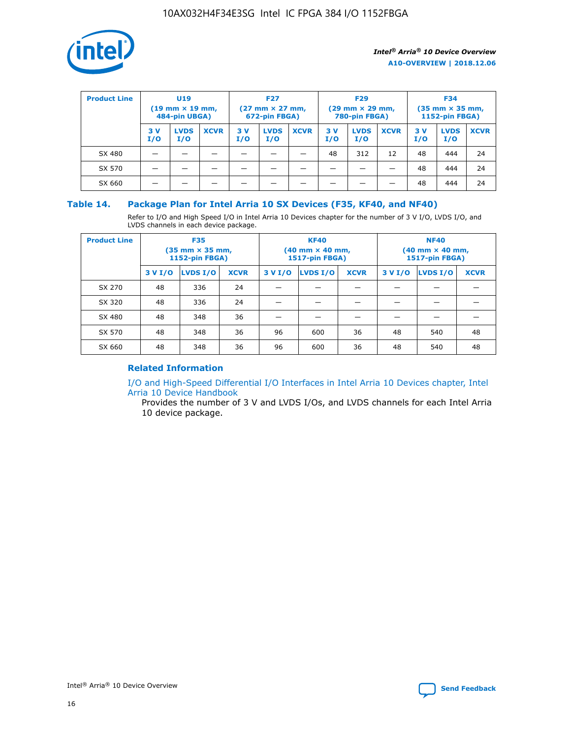

| <b>Product Line</b> | U <sub>19</sub><br>$(19 \text{ mm} \times 19 \text{ mm})$<br>484-pin UBGA) |                    | <b>F27</b><br>$(27 \text{ mm} \times 27 \text{ mm})$<br>672-pin FBGA) |           | <b>F29</b><br>$(29 \text{ mm} \times 29 \text{ mm})$<br>780-pin FBGA) |             |           | <b>F34</b><br>$(35 \text{ mm} \times 35 \text{ mm})$<br><b>1152-pin FBGA)</b> |             |           |                    |             |
|---------------------|----------------------------------------------------------------------------|--------------------|-----------------------------------------------------------------------|-----------|-----------------------------------------------------------------------|-------------|-----------|-------------------------------------------------------------------------------|-------------|-----------|--------------------|-------------|
|                     | 3 V<br>I/O                                                                 | <b>LVDS</b><br>I/O | <b>XCVR</b>                                                           | 3V<br>I/O | <b>LVDS</b><br>I/O                                                    | <b>XCVR</b> | 3V<br>I/O | <b>LVDS</b><br>I/O                                                            | <b>XCVR</b> | 3V<br>I/O | <b>LVDS</b><br>I/O | <b>XCVR</b> |
| SX 480              |                                                                            |                    |                                                                       |           |                                                                       |             | 48        | 312                                                                           | 12          | 48        | 444                | 24          |
| SX 570              |                                                                            |                    |                                                                       |           |                                                                       |             |           |                                                                               |             | 48        | 444                | 24          |
| SX 660              |                                                                            |                    |                                                                       |           |                                                                       |             |           |                                                                               |             | 48        | 444                | 24          |

## **Table 14. Package Plan for Intel Arria 10 SX Devices (F35, KF40, and NF40)**

Refer to I/O and High Speed I/O in Intel Arria 10 Devices chapter for the number of 3 V I/O, LVDS I/O, and LVDS channels in each device package.

| <b>Product Line</b> | <b>F35</b><br>$(35 \text{ mm} \times 35 \text{ mm})$<br><b>1152-pin FBGA)</b> |          |             |                                           | <b>KF40</b><br>(40 mm × 40 mm,<br>1517-pin FBGA) |    | <b>NF40</b><br>$(40 \text{ mm} \times 40 \text{ mm})$<br>1517-pin FBGA) |          |             |  |
|---------------------|-------------------------------------------------------------------------------|----------|-------------|-------------------------------------------|--------------------------------------------------|----|-------------------------------------------------------------------------|----------|-------------|--|
|                     | 3 V I/O                                                                       | LVDS I/O | <b>XCVR</b> | <b>LVDS I/O</b><br><b>XCVR</b><br>3 V I/O |                                                  |    | 3 V I/O                                                                 | LVDS I/O | <b>XCVR</b> |  |
| SX 270              | 48                                                                            | 336      | 24          |                                           |                                                  |    |                                                                         |          |             |  |
| SX 320              | 48                                                                            | 336      | 24          |                                           |                                                  |    |                                                                         |          |             |  |
| SX 480              | 48                                                                            | 348      | 36          |                                           |                                                  |    |                                                                         |          |             |  |
| SX 570              | 48                                                                            | 348      | 36          | 96                                        | 600                                              | 36 | 48                                                                      | 540      | 48          |  |
| SX 660              | 48                                                                            | 348      | 36          | 96                                        | 600                                              | 36 | 48                                                                      | 540      | 48          |  |

# **Related Information**

[I/O and High-Speed Differential I/O Interfaces in Intel Arria 10 Devices chapter, Intel](https://www.intel.com/content/www/us/en/programmable/documentation/sam1403482614086.html#sam1403482030321) [Arria 10 Device Handbook](https://www.intel.com/content/www/us/en/programmable/documentation/sam1403482614086.html#sam1403482030321)

Provides the number of 3 V and LVDS I/Os, and LVDS channels for each Intel Arria 10 device package.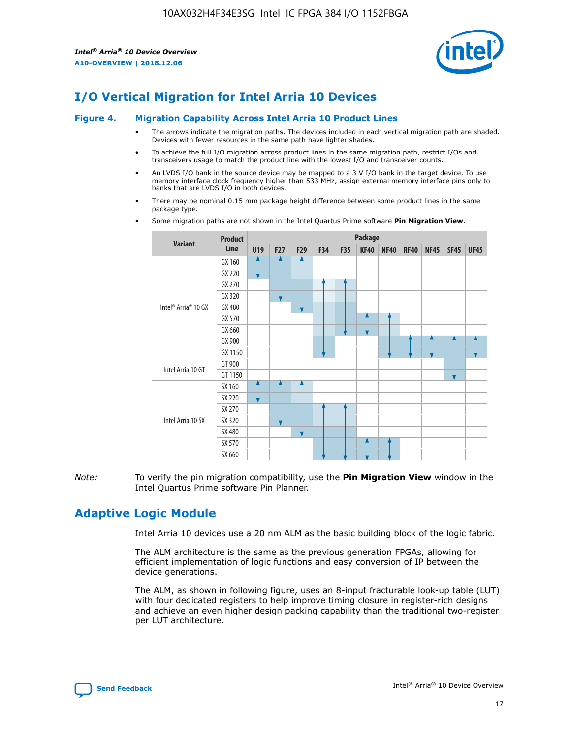

# **I/O Vertical Migration for Intel Arria 10 Devices**

#### **Figure 4. Migration Capability Across Intel Arria 10 Product Lines**

- The arrows indicate the migration paths. The devices included in each vertical migration path are shaded. Devices with fewer resources in the same path have lighter shades.
- To achieve the full I/O migration across product lines in the same migration path, restrict I/Os and transceivers usage to match the product line with the lowest I/O and transceiver counts.
- An LVDS I/O bank in the source device may be mapped to a 3 V I/O bank in the target device. To use memory interface clock frequency higher than 533 MHz, assign external memory interface pins only to banks that are LVDS I/O in both devices.
- There may be nominal 0.15 mm package height difference between some product lines in the same package type.
	- **Variant Product Line Package U19 F27 F29 F34 F35 KF40 NF40 RF40 NF45 SF45 UF45** Intel® Arria® 10 GX GX 160 GX 220 GX 270 GX 320 GX 480 GX 570 GX 660 GX 900 GX 1150 Intel Arria 10 GT GT 900 GT 1150 Intel Arria 10 SX SX 160 SX 220 SX 270 SX 320 SX 480 SX 570 SX 660
- Some migration paths are not shown in the Intel Quartus Prime software **Pin Migration View**.

*Note:* To verify the pin migration compatibility, use the **Pin Migration View** window in the Intel Quartus Prime software Pin Planner.

# **Adaptive Logic Module**

Intel Arria 10 devices use a 20 nm ALM as the basic building block of the logic fabric.

The ALM architecture is the same as the previous generation FPGAs, allowing for efficient implementation of logic functions and easy conversion of IP between the device generations.

The ALM, as shown in following figure, uses an 8-input fracturable look-up table (LUT) with four dedicated registers to help improve timing closure in register-rich designs and achieve an even higher design packing capability than the traditional two-register per LUT architecture.

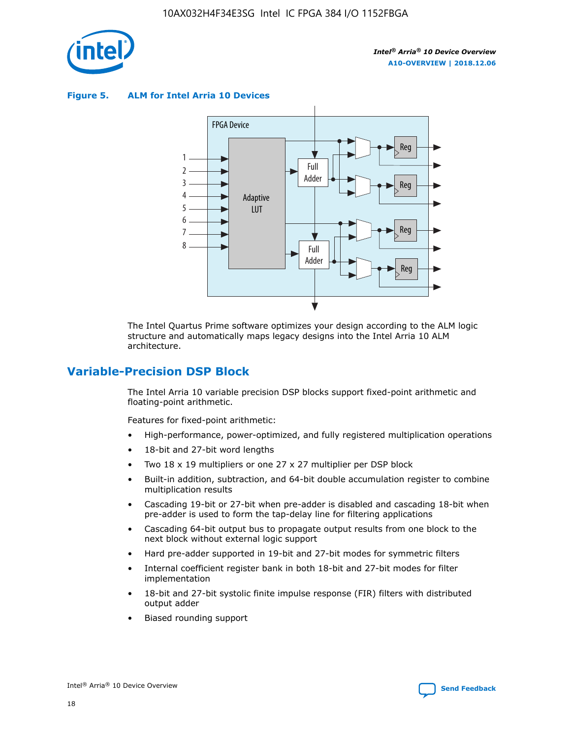

**Figure 5. ALM for Intel Arria 10 Devices**



The Intel Quartus Prime software optimizes your design according to the ALM logic structure and automatically maps legacy designs into the Intel Arria 10 ALM architecture.

# **Variable-Precision DSP Block**

The Intel Arria 10 variable precision DSP blocks support fixed-point arithmetic and floating-point arithmetic.

Features for fixed-point arithmetic:

- High-performance, power-optimized, and fully registered multiplication operations
- 18-bit and 27-bit word lengths
- Two 18 x 19 multipliers or one 27 x 27 multiplier per DSP block
- Built-in addition, subtraction, and 64-bit double accumulation register to combine multiplication results
- Cascading 19-bit or 27-bit when pre-adder is disabled and cascading 18-bit when pre-adder is used to form the tap-delay line for filtering applications
- Cascading 64-bit output bus to propagate output results from one block to the next block without external logic support
- Hard pre-adder supported in 19-bit and 27-bit modes for symmetric filters
- Internal coefficient register bank in both 18-bit and 27-bit modes for filter implementation
- 18-bit and 27-bit systolic finite impulse response (FIR) filters with distributed output adder
- Biased rounding support

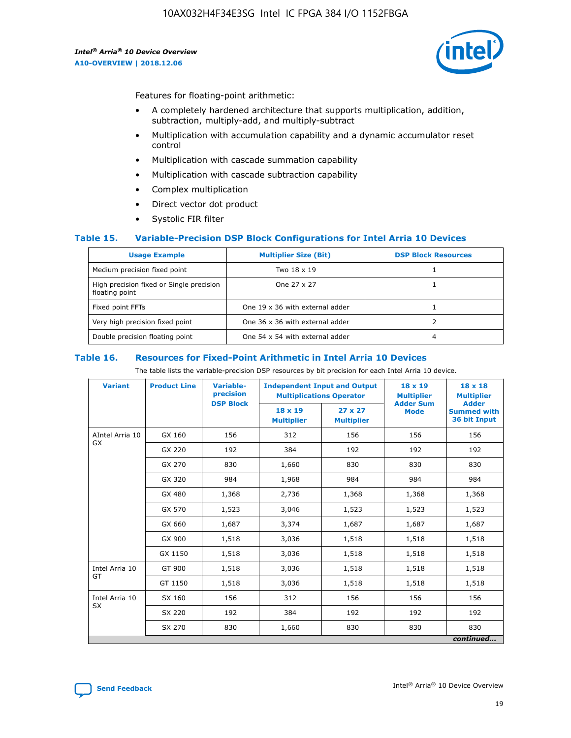

Features for floating-point arithmetic:

- A completely hardened architecture that supports multiplication, addition, subtraction, multiply-add, and multiply-subtract
- Multiplication with accumulation capability and a dynamic accumulator reset control
- Multiplication with cascade summation capability
- Multiplication with cascade subtraction capability
- Complex multiplication
- Direct vector dot product
- Systolic FIR filter

## **Table 15. Variable-Precision DSP Block Configurations for Intel Arria 10 Devices**

| <b>Usage Example</b>                                       | <b>Multiplier Size (Bit)</b>    | <b>DSP Block Resources</b> |
|------------------------------------------------------------|---------------------------------|----------------------------|
| Medium precision fixed point                               | Two 18 x 19                     |                            |
| High precision fixed or Single precision<br>floating point | One 27 x 27                     |                            |
| Fixed point FFTs                                           | One 19 x 36 with external adder |                            |
| Very high precision fixed point                            | One 36 x 36 with external adder |                            |
| Double precision floating point                            | One 54 x 54 with external adder | 4                          |

#### **Table 16. Resources for Fixed-Point Arithmetic in Intel Arria 10 Devices**

The table lists the variable-precision DSP resources by bit precision for each Intel Arria 10 device.

| <b>Variant</b>  | <b>Product Line</b> | <b>Variable-</b><br>precision<br><b>DSP Block</b> | <b>Independent Input and Output</b><br><b>Multiplications Operator</b> |                                     | 18 x 19<br><b>Multiplier</b><br><b>Adder Sum</b> | $18 \times 18$<br><b>Multiplier</b><br><b>Adder</b> |
|-----------------|---------------------|---------------------------------------------------|------------------------------------------------------------------------|-------------------------------------|--------------------------------------------------|-----------------------------------------------------|
|                 |                     |                                                   | 18 x 19<br><b>Multiplier</b>                                           | $27 \times 27$<br><b>Multiplier</b> | <b>Mode</b>                                      | <b>Summed with</b><br>36 bit Input                  |
| AIntel Arria 10 | GX 160              | 156                                               | 312                                                                    | 156                                 | 156                                              | 156                                                 |
| GX              | GX 220              | 192                                               | 384                                                                    | 192                                 | 192                                              | 192                                                 |
|                 | GX 270              | 830                                               | 1,660                                                                  | 830                                 | 830                                              | 830                                                 |
|                 | GX 320              | 984                                               | 1,968                                                                  | 984                                 | 984                                              | 984                                                 |
|                 | GX 480              | 1,368                                             | 2,736                                                                  | 1,368                               | 1,368                                            | 1,368                                               |
|                 | GX 570              | 1,523                                             | 3,046                                                                  | 1,523                               | 1,523                                            | 1,523                                               |
|                 | GX 660              | 1,687                                             | 3,374                                                                  | 1,687                               | 1,687                                            | 1,687                                               |
|                 | GX 900              | 1,518                                             | 3,036                                                                  | 1,518                               | 1,518                                            | 1,518                                               |
|                 | GX 1150             | 1,518                                             | 3,036                                                                  | 1,518                               | 1,518                                            | 1,518                                               |
| Intel Arria 10  | GT 900              | 1,518                                             | 3,036                                                                  | 1,518                               | 1,518                                            | 1,518                                               |
| GT              | GT 1150             | 1,518                                             | 3,036                                                                  | 1,518                               | 1,518                                            | 1,518                                               |
| Intel Arria 10  | SX 160              | 156                                               | 312                                                                    | 156                                 | 156                                              | 156                                                 |
| <b>SX</b>       | SX 220              | 192                                               | 384                                                                    | 192                                 | 192                                              | 192                                                 |
|                 | SX 270              | 830                                               | 1,660                                                                  | 830                                 | 830                                              | 830                                                 |
|                 |                     |                                                   |                                                                        |                                     |                                                  | continued                                           |

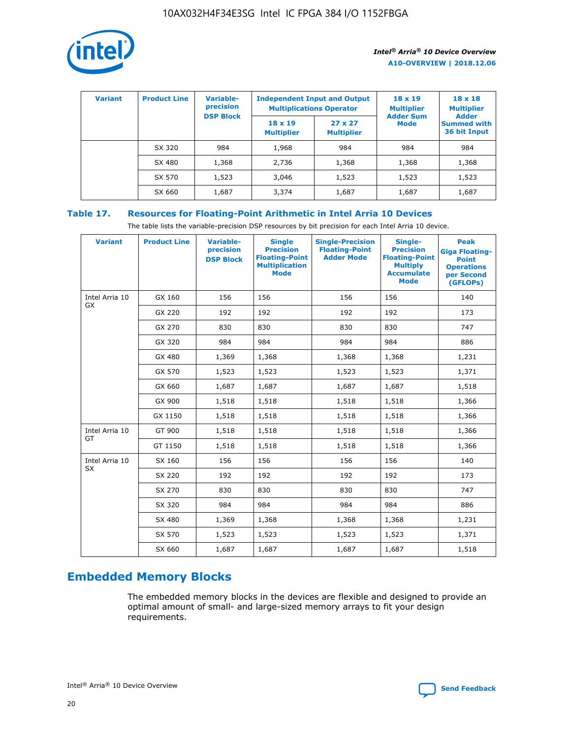

| <b>Variant</b> | <b>Product Line</b> | <b>Variable-</b><br>precision |                                     | <b>Independent Input and Output</b><br><b>Multiplications Operator</b> | $18 \times 19$<br><b>Multiplier</b> | $18 \times 18$<br><b>Multiplier</b>                |
|----------------|---------------------|-------------------------------|-------------------------------------|------------------------------------------------------------------------|-------------------------------------|----------------------------------------------------|
|                |                     | <b>DSP Block</b>              | $18 \times 19$<br><b>Multiplier</b> | $27 \times 27$<br><b>Multiplier</b>                                    | <b>Adder Sum</b><br><b>Mode</b>     | <b>Adder</b><br><b>Summed with</b><br>36 bit Input |
|                | SX 320              | 984                           | 1,968                               | 984                                                                    | 984                                 | 984                                                |
|                | SX 480              | 1,368                         | 2,736                               | 1,368                                                                  | 1,368                               | 1,368                                              |
|                | SX 570              | 1,523                         | 3,046                               | 1,523                                                                  | 1,523                               | 1,523                                              |
|                | SX 660              | 1,687                         | 3,374                               | 1,687                                                                  | 1,687                               | 1,687                                              |

# **Table 17. Resources for Floating-Point Arithmetic in Intel Arria 10 Devices**

The table lists the variable-precision DSP resources by bit precision for each Intel Arria 10 device.

| <b>Variant</b> | <b>Product Line</b> | <b>Variable-</b><br>precision<br><b>DSP Block</b> | <b>Single</b><br><b>Precision</b><br><b>Floating-Point</b><br><b>Multiplication</b><br><b>Mode</b> | <b>Single-Precision</b><br><b>Floating-Point</b><br><b>Adder Mode</b> | Single-<br><b>Precision</b><br><b>Floating-Point</b><br><b>Multiply</b><br><b>Accumulate</b><br><b>Mode</b> | <b>Peak</b><br><b>Giga Floating-</b><br><b>Point</b><br><b>Operations</b><br>per Second<br>(GFLOPs) |
|----------------|---------------------|---------------------------------------------------|----------------------------------------------------------------------------------------------------|-----------------------------------------------------------------------|-------------------------------------------------------------------------------------------------------------|-----------------------------------------------------------------------------------------------------|
| Intel Arria 10 | GX 160              | 156                                               | 156                                                                                                | 156                                                                   | 156                                                                                                         | 140                                                                                                 |
| GX             | GX 220              | 192                                               | 192                                                                                                | 192                                                                   | 192                                                                                                         | 173                                                                                                 |
|                | GX 270              | 830                                               | 830                                                                                                | 830                                                                   | 830                                                                                                         | 747                                                                                                 |
|                | GX 320              | 984                                               | 984                                                                                                | 984                                                                   | 984                                                                                                         | 886                                                                                                 |
|                | GX 480              | 1,369                                             | 1,368                                                                                              | 1,368                                                                 | 1,368                                                                                                       | 1,231                                                                                               |
|                | GX 570              | 1,523                                             | 1,523                                                                                              | 1,523                                                                 | 1,523                                                                                                       | 1,371                                                                                               |
|                | GX 660              | 1,687                                             | 1,687                                                                                              | 1,687                                                                 | 1,687                                                                                                       | 1,518                                                                                               |
|                | GX 900              | 1,518                                             | 1,518                                                                                              | 1,518                                                                 | 1,518                                                                                                       | 1,366                                                                                               |
|                | GX 1150             | 1,518                                             | 1,518                                                                                              | 1,518                                                                 | 1,518                                                                                                       | 1,366                                                                                               |
| Intel Arria 10 | GT 900              | 1,518                                             | 1,518                                                                                              | 1,518                                                                 | 1,518                                                                                                       | 1,366                                                                                               |
| GT             | GT 1150             | 1,518                                             | 1,518                                                                                              | 1,518                                                                 | 1,518                                                                                                       | 1,366                                                                                               |
| Intel Arria 10 | SX 160              | 156                                               | 156                                                                                                | 156                                                                   | 156                                                                                                         | 140                                                                                                 |
| SX             | SX 220              | 192                                               | 192                                                                                                | 192                                                                   | 192                                                                                                         | 173                                                                                                 |
|                | SX 270              | 830                                               | 830                                                                                                | 830                                                                   | 830                                                                                                         | 747                                                                                                 |
|                | SX 320              | 984                                               | 984                                                                                                | 984                                                                   | 984                                                                                                         | 886                                                                                                 |
|                | SX 480              | 1,369                                             | 1,368                                                                                              | 1,368                                                                 | 1,368                                                                                                       | 1,231                                                                                               |
|                | SX 570              | 1,523                                             | 1,523                                                                                              | 1,523                                                                 | 1,523                                                                                                       | 1,371                                                                                               |
|                | SX 660              | 1,687                                             | 1,687                                                                                              | 1,687                                                                 | 1,687                                                                                                       | 1,518                                                                                               |

# **Embedded Memory Blocks**

The embedded memory blocks in the devices are flexible and designed to provide an optimal amount of small- and large-sized memory arrays to fit your design requirements.

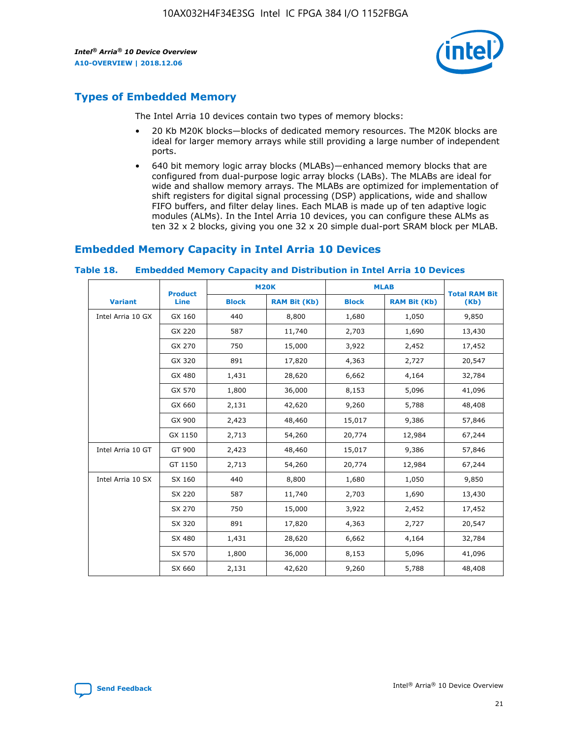

# **Types of Embedded Memory**

The Intel Arria 10 devices contain two types of memory blocks:

- 20 Kb M20K blocks—blocks of dedicated memory resources. The M20K blocks are ideal for larger memory arrays while still providing a large number of independent ports.
- 640 bit memory logic array blocks (MLABs)—enhanced memory blocks that are configured from dual-purpose logic array blocks (LABs). The MLABs are ideal for wide and shallow memory arrays. The MLABs are optimized for implementation of shift registers for digital signal processing (DSP) applications, wide and shallow FIFO buffers, and filter delay lines. Each MLAB is made up of ten adaptive logic modules (ALMs). In the Intel Arria 10 devices, you can configure these ALMs as ten 32 x 2 blocks, giving you one 32 x 20 simple dual-port SRAM block per MLAB.

# **Embedded Memory Capacity in Intel Arria 10 Devices**

|                   | <b>Product</b> |              | <b>M20K</b>         | <b>MLAB</b>  |                     | <b>Total RAM Bit</b> |
|-------------------|----------------|--------------|---------------------|--------------|---------------------|----------------------|
| <b>Variant</b>    | <b>Line</b>    | <b>Block</b> | <b>RAM Bit (Kb)</b> | <b>Block</b> | <b>RAM Bit (Kb)</b> | (Kb)                 |
| Intel Arria 10 GX | GX 160         | 440          | 8,800               | 1,680        | 1,050               | 9,850                |
|                   | GX 220         | 587          | 11,740              | 2,703        | 1,690               | 13,430               |
|                   | GX 270         | 750          | 15,000              | 3,922        | 2,452               | 17,452               |
|                   | GX 320         | 891          | 17,820              | 4,363        | 2,727               | 20,547               |
|                   | GX 480         | 1,431        | 28,620              | 6,662        | 4,164               | 32,784               |
|                   | GX 570         | 1,800        | 36,000              | 8,153        | 5,096               | 41,096               |
|                   | GX 660         | 2,131        | 42,620              | 9,260        | 5,788               | 48,408               |
|                   | GX 900         | 2,423        | 48,460              | 15,017       | 9,386               | 57,846               |
|                   | GX 1150        | 2,713        | 54,260              | 20,774       | 12,984              | 67,244               |
| Intel Arria 10 GT | GT 900         | 2,423        | 48,460              | 15,017       | 9,386               | 57,846               |
|                   | GT 1150        | 2,713        | 54,260              | 20,774       | 12,984              | 67,244               |
| Intel Arria 10 SX | SX 160         | 440          | 8,800               | 1,680        | 1,050               | 9,850                |
|                   | SX 220         | 587          | 11,740              | 2,703        | 1,690               | 13,430               |
|                   | SX 270         | 750          | 15,000              | 3,922        | 2,452               | 17,452               |
|                   | SX 320         | 891          | 17,820              | 4,363        | 2,727               | 20,547               |
|                   | SX 480         | 1,431        | 28,620              | 6,662        | 4,164               | 32,784               |
|                   | SX 570         | 1,800        | 36,000              | 8,153        | 5,096               | 41,096               |
|                   | SX 660         | 2,131        | 42,620              | 9,260        | 5,788               | 48,408               |

#### **Table 18. Embedded Memory Capacity and Distribution in Intel Arria 10 Devices**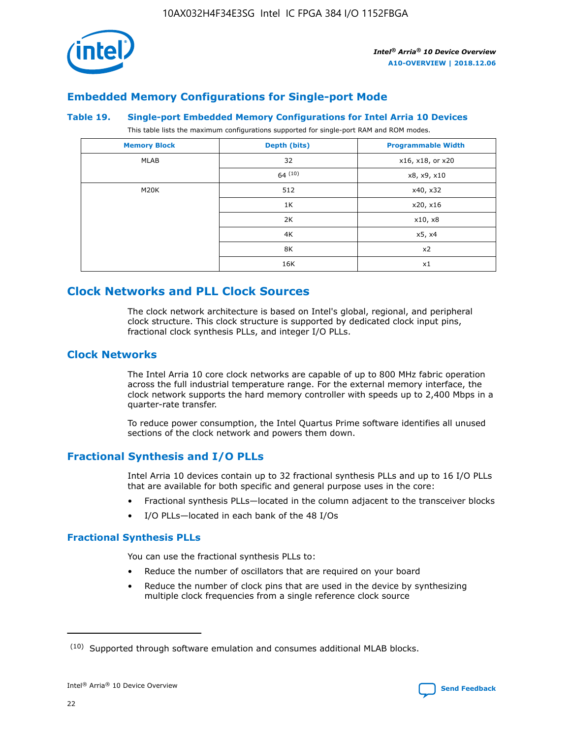

# **Embedded Memory Configurations for Single-port Mode**

#### **Table 19. Single-port Embedded Memory Configurations for Intel Arria 10 Devices**

This table lists the maximum configurations supported for single-port RAM and ROM modes.

| <b>Memory Block</b> | Depth (bits) | <b>Programmable Width</b> |
|---------------------|--------------|---------------------------|
| MLAB                | 32           | x16, x18, or x20          |
|                     | 64(10)       | x8, x9, x10               |
| M20K                | 512          | x40, x32                  |
|                     | 1K           | x20, x16                  |
|                     | 2K           | x10, x8                   |
|                     | 4K           | x5, x4                    |
|                     | 8K           | x2                        |
|                     | 16K          | x1                        |

# **Clock Networks and PLL Clock Sources**

The clock network architecture is based on Intel's global, regional, and peripheral clock structure. This clock structure is supported by dedicated clock input pins, fractional clock synthesis PLLs, and integer I/O PLLs.

# **Clock Networks**

The Intel Arria 10 core clock networks are capable of up to 800 MHz fabric operation across the full industrial temperature range. For the external memory interface, the clock network supports the hard memory controller with speeds up to 2,400 Mbps in a quarter-rate transfer.

To reduce power consumption, the Intel Quartus Prime software identifies all unused sections of the clock network and powers them down.

# **Fractional Synthesis and I/O PLLs**

Intel Arria 10 devices contain up to 32 fractional synthesis PLLs and up to 16 I/O PLLs that are available for both specific and general purpose uses in the core:

- Fractional synthesis PLLs—located in the column adjacent to the transceiver blocks
- I/O PLLs—located in each bank of the 48 I/Os

# **Fractional Synthesis PLLs**

You can use the fractional synthesis PLLs to:

- Reduce the number of oscillators that are required on your board
- Reduce the number of clock pins that are used in the device by synthesizing multiple clock frequencies from a single reference clock source

<sup>(10)</sup> Supported through software emulation and consumes additional MLAB blocks.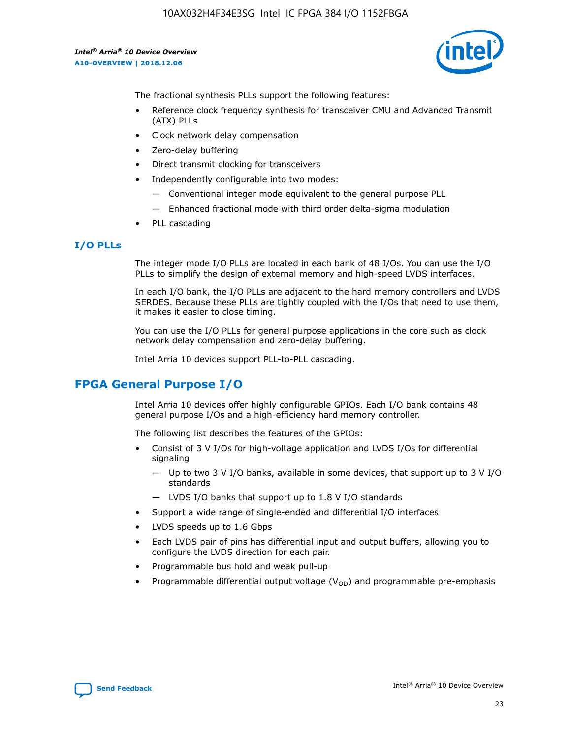

The fractional synthesis PLLs support the following features:

- Reference clock frequency synthesis for transceiver CMU and Advanced Transmit (ATX) PLLs
- Clock network delay compensation
- Zero-delay buffering
- Direct transmit clocking for transceivers
- Independently configurable into two modes:
	- Conventional integer mode equivalent to the general purpose PLL
	- Enhanced fractional mode with third order delta-sigma modulation
- PLL cascading

## **I/O PLLs**

The integer mode I/O PLLs are located in each bank of 48 I/Os. You can use the I/O PLLs to simplify the design of external memory and high-speed LVDS interfaces.

In each I/O bank, the I/O PLLs are adjacent to the hard memory controllers and LVDS SERDES. Because these PLLs are tightly coupled with the I/Os that need to use them, it makes it easier to close timing.

You can use the I/O PLLs for general purpose applications in the core such as clock network delay compensation and zero-delay buffering.

Intel Arria 10 devices support PLL-to-PLL cascading.

# **FPGA General Purpose I/O**

Intel Arria 10 devices offer highly configurable GPIOs. Each I/O bank contains 48 general purpose I/Os and a high-efficiency hard memory controller.

The following list describes the features of the GPIOs:

- Consist of 3 V I/Os for high-voltage application and LVDS I/Os for differential signaling
	- Up to two 3 V I/O banks, available in some devices, that support up to 3 V I/O standards
	- LVDS I/O banks that support up to 1.8 V I/O standards
- Support a wide range of single-ended and differential I/O interfaces
- LVDS speeds up to 1.6 Gbps
- Each LVDS pair of pins has differential input and output buffers, allowing you to configure the LVDS direction for each pair.
- Programmable bus hold and weak pull-up
- Programmable differential output voltage  $(V_{OD})$  and programmable pre-emphasis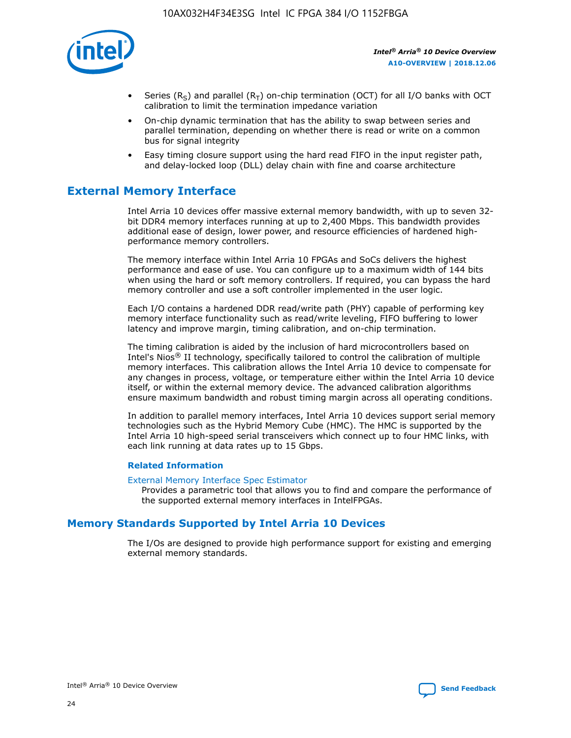

- Series (R<sub>S</sub>) and parallel (R<sub>T</sub>) on-chip termination (OCT) for all I/O banks with OCT calibration to limit the termination impedance variation
- On-chip dynamic termination that has the ability to swap between series and parallel termination, depending on whether there is read or write on a common bus for signal integrity
- Easy timing closure support using the hard read FIFO in the input register path, and delay-locked loop (DLL) delay chain with fine and coarse architecture

# **External Memory Interface**

Intel Arria 10 devices offer massive external memory bandwidth, with up to seven 32 bit DDR4 memory interfaces running at up to 2,400 Mbps. This bandwidth provides additional ease of design, lower power, and resource efficiencies of hardened highperformance memory controllers.

The memory interface within Intel Arria 10 FPGAs and SoCs delivers the highest performance and ease of use. You can configure up to a maximum width of 144 bits when using the hard or soft memory controllers. If required, you can bypass the hard memory controller and use a soft controller implemented in the user logic.

Each I/O contains a hardened DDR read/write path (PHY) capable of performing key memory interface functionality such as read/write leveling, FIFO buffering to lower latency and improve margin, timing calibration, and on-chip termination.

The timing calibration is aided by the inclusion of hard microcontrollers based on Intel's Nios® II technology, specifically tailored to control the calibration of multiple memory interfaces. This calibration allows the Intel Arria 10 device to compensate for any changes in process, voltage, or temperature either within the Intel Arria 10 device itself, or within the external memory device. The advanced calibration algorithms ensure maximum bandwidth and robust timing margin across all operating conditions.

In addition to parallel memory interfaces, Intel Arria 10 devices support serial memory technologies such as the Hybrid Memory Cube (HMC). The HMC is supported by the Intel Arria 10 high-speed serial transceivers which connect up to four HMC links, with each link running at data rates up to 15 Gbps.

## **Related Information**

#### [External Memory Interface Spec Estimator](http://www.altera.com/technology/memory/estimator/mem-emif-index.html)

Provides a parametric tool that allows you to find and compare the performance of the supported external memory interfaces in IntelFPGAs.

# **Memory Standards Supported by Intel Arria 10 Devices**

The I/Os are designed to provide high performance support for existing and emerging external memory standards.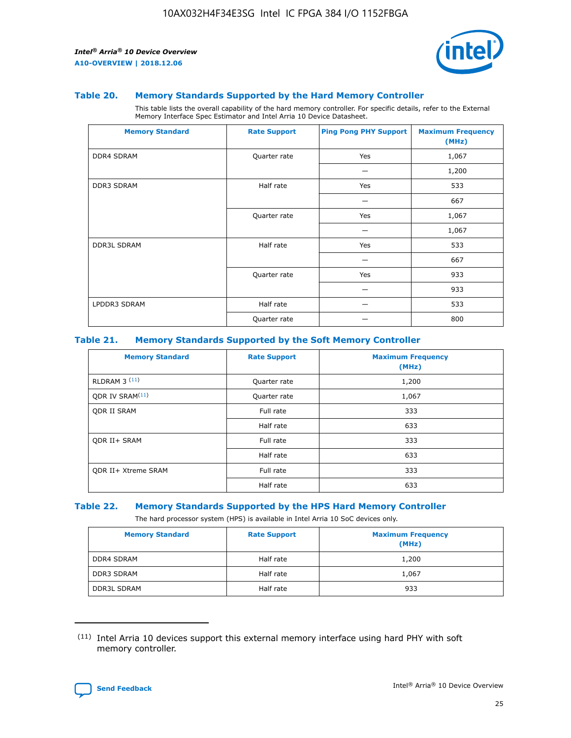

#### **Table 20. Memory Standards Supported by the Hard Memory Controller**

This table lists the overall capability of the hard memory controller. For specific details, refer to the External Memory Interface Spec Estimator and Intel Arria 10 Device Datasheet.

| <b>Memory Standard</b> | <b>Rate Support</b> | <b>Ping Pong PHY Support</b> | <b>Maximum Frequency</b><br>(MHz) |
|------------------------|---------------------|------------------------------|-----------------------------------|
| <b>DDR4 SDRAM</b>      | Quarter rate        | Yes                          | 1,067                             |
|                        |                     |                              | 1,200                             |
| <b>DDR3 SDRAM</b>      | Half rate           | Yes                          | 533                               |
|                        |                     |                              | 667                               |
|                        | Quarter rate        | Yes                          | 1,067                             |
|                        |                     |                              | 1,067                             |
| <b>DDR3L SDRAM</b>     | Half rate           | Yes                          | 533                               |
|                        |                     |                              | 667                               |
|                        | Quarter rate        | Yes                          | 933                               |
|                        |                     |                              | 933                               |
| LPDDR3 SDRAM           | Half rate           |                              | 533                               |
|                        | Quarter rate        |                              | 800                               |

#### **Table 21. Memory Standards Supported by the Soft Memory Controller**

| <b>Memory Standard</b>      | <b>Rate Support</b> | <b>Maximum Frequency</b><br>(MHz) |
|-----------------------------|---------------------|-----------------------------------|
| <b>RLDRAM 3 (11)</b>        | Quarter rate        | 1,200                             |
| ODR IV SRAM <sup>(11)</sup> | Quarter rate        | 1,067                             |
| <b>ODR II SRAM</b>          | Full rate           | 333                               |
|                             | Half rate           | 633                               |
| <b>ODR II+ SRAM</b>         | Full rate           | 333                               |
|                             | Half rate           | 633                               |
| <b>ODR II+ Xtreme SRAM</b>  | Full rate           | 333                               |
|                             | Half rate           | 633                               |

#### **Table 22. Memory Standards Supported by the HPS Hard Memory Controller**

The hard processor system (HPS) is available in Intel Arria 10 SoC devices only.

| <b>Memory Standard</b> | <b>Rate Support</b> | <b>Maximum Frequency</b><br>(MHz) |
|------------------------|---------------------|-----------------------------------|
| <b>DDR4 SDRAM</b>      | Half rate           | 1,200                             |
| <b>DDR3 SDRAM</b>      | Half rate           | 1,067                             |
| <b>DDR3L SDRAM</b>     | Half rate           | 933                               |

<sup>(11)</sup> Intel Arria 10 devices support this external memory interface using hard PHY with soft memory controller.

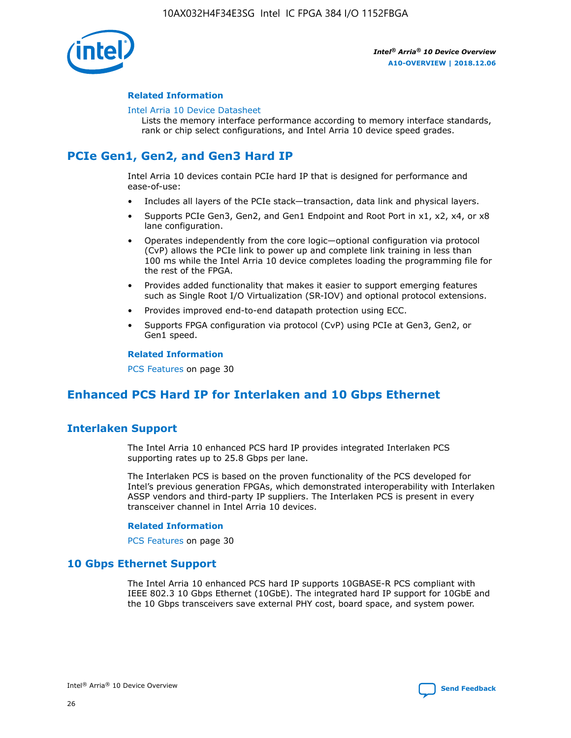

## **Related Information**

#### [Intel Arria 10 Device Datasheet](https://www.intel.com/content/www/us/en/programmable/documentation/mcn1413182292568.html#mcn1413182153340)

Lists the memory interface performance according to memory interface standards, rank or chip select configurations, and Intel Arria 10 device speed grades.

# **PCIe Gen1, Gen2, and Gen3 Hard IP**

Intel Arria 10 devices contain PCIe hard IP that is designed for performance and ease-of-use:

- Includes all layers of the PCIe stack—transaction, data link and physical layers.
- Supports PCIe Gen3, Gen2, and Gen1 Endpoint and Root Port in x1, x2, x4, or x8 lane configuration.
- Operates independently from the core logic—optional configuration via protocol (CvP) allows the PCIe link to power up and complete link training in less than 100 ms while the Intel Arria 10 device completes loading the programming file for the rest of the FPGA.
- Provides added functionality that makes it easier to support emerging features such as Single Root I/O Virtualization (SR-IOV) and optional protocol extensions.
- Provides improved end-to-end datapath protection using ECC.
- Supports FPGA configuration via protocol (CvP) using PCIe at Gen3, Gen2, or Gen1 speed.

#### **Related Information**

PCS Features on page 30

# **Enhanced PCS Hard IP for Interlaken and 10 Gbps Ethernet**

# **Interlaken Support**

The Intel Arria 10 enhanced PCS hard IP provides integrated Interlaken PCS supporting rates up to 25.8 Gbps per lane.

The Interlaken PCS is based on the proven functionality of the PCS developed for Intel's previous generation FPGAs, which demonstrated interoperability with Interlaken ASSP vendors and third-party IP suppliers. The Interlaken PCS is present in every transceiver channel in Intel Arria 10 devices.

## **Related Information**

PCS Features on page 30

# **10 Gbps Ethernet Support**

The Intel Arria 10 enhanced PCS hard IP supports 10GBASE-R PCS compliant with IEEE 802.3 10 Gbps Ethernet (10GbE). The integrated hard IP support for 10GbE and the 10 Gbps transceivers save external PHY cost, board space, and system power.

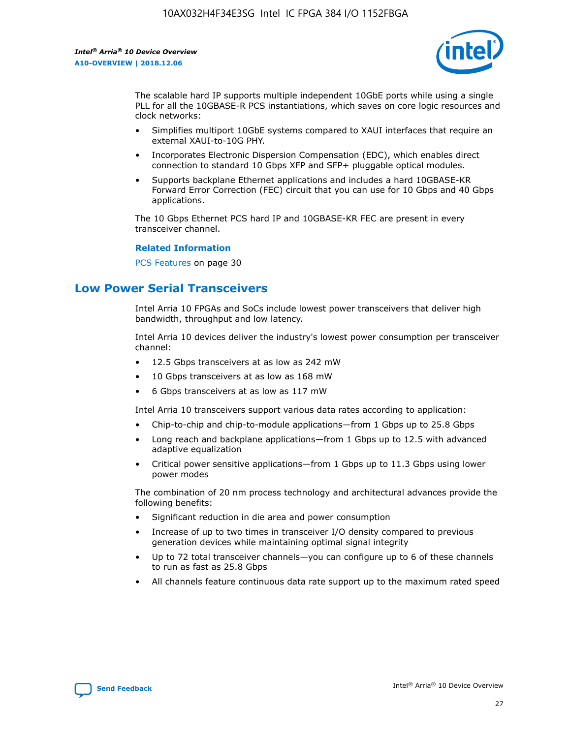

The scalable hard IP supports multiple independent 10GbE ports while using a single PLL for all the 10GBASE-R PCS instantiations, which saves on core logic resources and clock networks:

- Simplifies multiport 10GbE systems compared to XAUI interfaces that require an external XAUI-to-10G PHY.
- Incorporates Electronic Dispersion Compensation (EDC), which enables direct connection to standard 10 Gbps XFP and SFP+ pluggable optical modules.
- Supports backplane Ethernet applications and includes a hard 10GBASE-KR Forward Error Correction (FEC) circuit that you can use for 10 Gbps and 40 Gbps applications.

The 10 Gbps Ethernet PCS hard IP and 10GBASE-KR FEC are present in every transceiver channel.

#### **Related Information**

PCS Features on page 30

# **Low Power Serial Transceivers**

Intel Arria 10 FPGAs and SoCs include lowest power transceivers that deliver high bandwidth, throughput and low latency.

Intel Arria 10 devices deliver the industry's lowest power consumption per transceiver channel:

- 12.5 Gbps transceivers at as low as 242 mW
- 10 Gbps transceivers at as low as 168 mW
- 6 Gbps transceivers at as low as 117 mW

Intel Arria 10 transceivers support various data rates according to application:

- Chip-to-chip and chip-to-module applications—from 1 Gbps up to 25.8 Gbps
- Long reach and backplane applications—from 1 Gbps up to 12.5 with advanced adaptive equalization
- Critical power sensitive applications—from 1 Gbps up to 11.3 Gbps using lower power modes

The combination of 20 nm process technology and architectural advances provide the following benefits:

- Significant reduction in die area and power consumption
- Increase of up to two times in transceiver I/O density compared to previous generation devices while maintaining optimal signal integrity
- Up to 72 total transceiver channels—you can configure up to 6 of these channels to run as fast as 25.8 Gbps
- All channels feature continuous data rate support up to the maximum rated speed

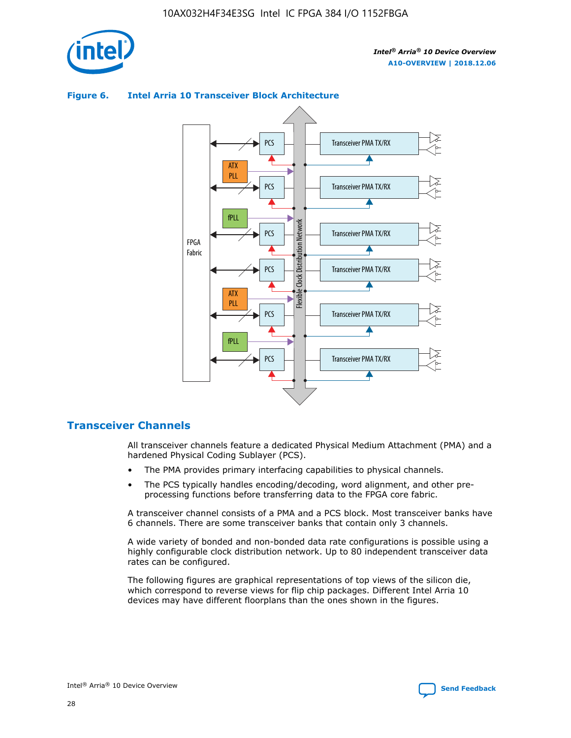

# Transceiver PMA TX/RX PCS ATX PLL Transceiver PMA TX/RX PCS fPLL Network Flexible Clock Distribution Network PCS Transceiver PMA TX/RX FPGA **Clock Distribution** Fabric PCS Transceiver PMA TX/RX ATX Flexible PLL PCS Transceiver PMA TX/RX ▲ fPLL Transceiver PMA TX/RX PCS 4

## **Figure 6. Intel Arria 10 Transceiver Block Architecture**

# **Transceiver Channels**

All transceiver channels feature a dedicated Physical Medium Attachment (PMA) and a hardened Physical Coding Sublayer (PCS).

- The PMA provides primary interfacing capabilities to physical channels.
- The PCS typically handles encoding/decoding, word alignment, and other preprocessing functions before transferring data to the FPGA core fabric.

A transceiver channel consists of a PMA and a PCS block. Most transceiver banks have 6 channels. There are some transceiver banks that contain only 3 channels.

A wide variety of bonded and non-bonded data rate configurations is possible using a highly configurable clock distribution network. Up to 80 independent transceiver data rates can be configured.

The following figures are graphical representations of top views of the silicon die, which correspond to reverse views for flip chip packages. Different Intel Arria 10 devices may have different floorplans than the ones shown in the figures.

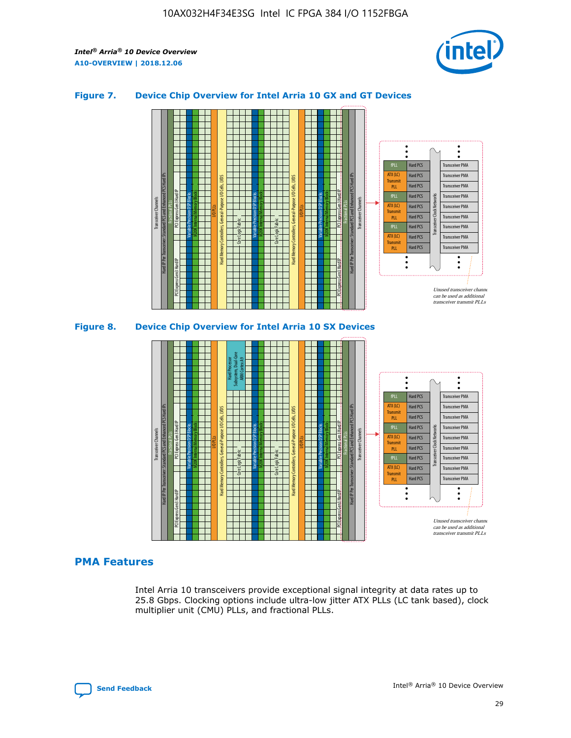

## **Figure 7. Device Chip Overview for Intel Arria 10 GX and GT Devices**





# **PMA Features**

Intel Arria 10 transceivers provide exceptional signal integrity at data rates up to 25.8 Gbps. Clocking options include ultra-low jitter ATX PLLs (LC tank based), clock multiplier unit (CMU) PLLs, and fractional PLLs.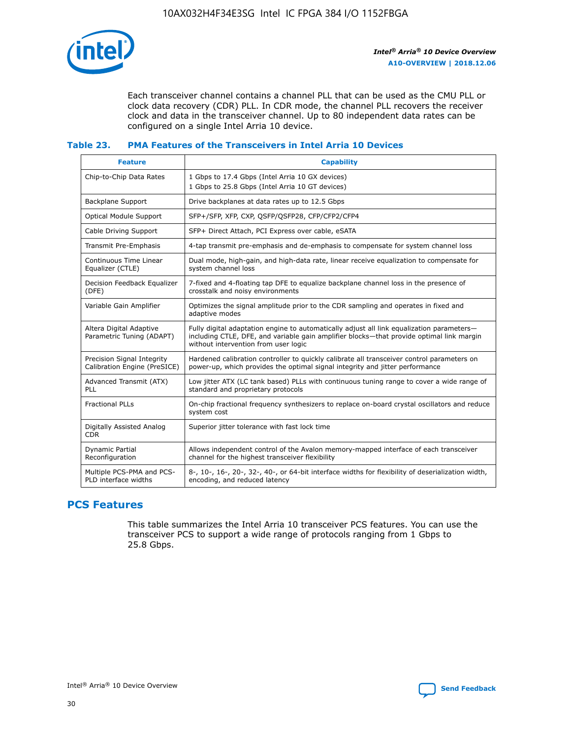

Each transceiver channel contains a channel PLL that can be used as the CMU PLL or clock data recovery (CDR) PLL. In CDR mode, the channel PLL recovers the receiver clock and data in the transceiver channel. Up to 80 independent data rates can be configured on a single Intel Arria 10 device.

## **Table 23. PMA Features of the Transceivers in Intel Arria 10 Devices**

| <b>Feature</b>                                             | <b>Capability</b>                                                                                                                                                                                                             |
|------------------------------------------------------------|-------------------------------------------------------------------------------------------------------------------------------------------------------------------------------------------------------------------------------|
| Chip-to-Chip Data Rates                                    | 1 Gbps to 17.4 Gbps (Intel Arria 10 GX devices)<br>1 Gbps to 25.8 Gbps (Intel Arria 10 GT devices)                                                                                                                            |
| <b>Backplane Support</b>                                   | Drive backplanes at data rates up to 12.5 Gbps                                                                                                                                                                                |
| <b>Optical Module Support</b>                              | SFP+/SFP, XFP, CXP, QSFP/QSFP28, CFP/CFP2/CFP4                                                                                                                                                                                |
| Cable Driving Support                                      | SFP+ Direct Attach, PCI Express over cable, eSATA                                                                                                                                                                             |
| Transmit Pre-Emphasis                                      | 4-tap transmit pre-emphasis and de-emphasis to compensate for system channel loss                                                                                                                                             |
| Continuous Time Linear<br>Equalizer (CTLE)                 | Dual mode, high-gain, and high-data rate, linear receive equalization to compensate for<br>system channel loss                                                                                                                |
| Decision Feedback Equalizer<br>(DFE)                       | 7-fixed and 4-floating tap DFE to equalize backplane channel loss in the presence of<br>crosstalk and noisy environments                                                                                                      |
| Variable Gain Amplifier                                    | Optimizes the signal amplitude prior to the CDR sampling and operates in fixed and<br>adaptive modes                                                                                                                          |
| Altera Digital Adaptive<br>Parametric Tuning (ADAPT)       | Fully digital adaptation engine to automatically adjust all link equalization parameters-<br>including CTLE, DFE, and variable gain amplifier blocks—that provide optimal link margin<br>without intervention from user logic |
| Precision Signal Integrity<br>Calibration Engine (PreSICE) | Hardened calibration controller to quickly calibrate all transceiver control parameters on<br>power-up, which provides the optimal signal integrity and jitter performance                                                    |
| Advanced Transmit (ATX)<br><b>PLL</b>                      | Low jitter ATX (LC tank based) PLLs with continuous tuning range to cover a wide range of<br>standard and proprietary protocols                                                                                               |
| <b>Fractional PLLs</b>                                     | On-chip fractional frequency synthesizers to replace on-board crystal oscillators and reduce<br>system cost                                                                                                                   |
| Digitally Assisted Analog<br><b>CDR</b>                    | Superior jitter tolerance with fast lock time                                                                                                                                                                                 |
| Dynamic Partial<br>Reconfiguration                         | Allows independent control of the Avalon memory-mapped interface of each transceiver<br>channel for the highest transceiver flexibility                                                                                       |
| Multiple PCS-PMA and PCS-<br>PLD interface widths          | 8-, 10-, 16-, 20-, 32-, 40-, or 64-bit interface widths for flexibility of deserialization width,<br>encoding, and reduced latency                                                                                            |

# **PCS Features**

This table summarizes the Intel Arria 10 transceiver PCS features. You can use the transceiver PCS to support a wide range of protocols ranging from 1 Gbps to 25.8 Gbps.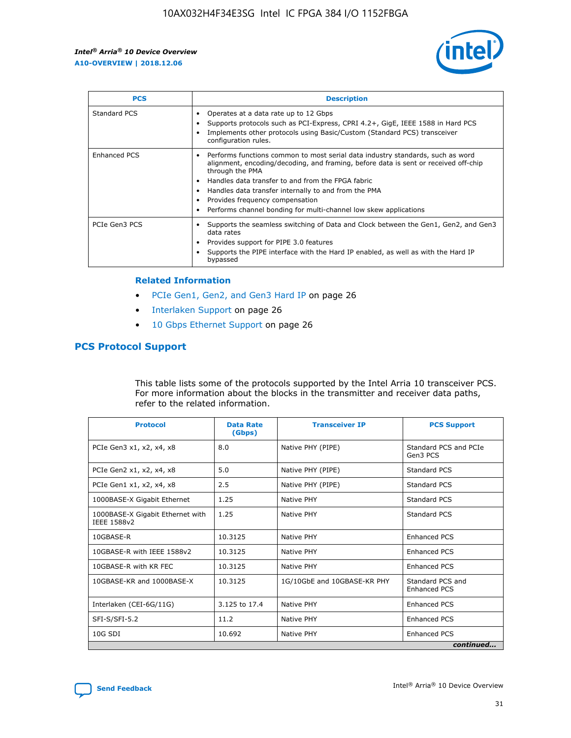

| <b>PCS</b>          | <b>Description</b>                                                                                                                                                                                                                                                                                                                                                                                             |
|---------------------|----------------------------------------------------------------------------------------------------------------------------------------------------------------------------------------------------------------------------------------------------------------------------------------------------------------------------------------------------------------------------------------------------------------|
| Standard PCS        | Operates at a data rate up to 12 Gbps<br>Supports protocols such as PCI-Express, CPRI 4.2+, GigE, IEEE 1588 in Hard PCS<br>Implements other protocols using Basic/Custom (Standard PCS) transceiver<br>configuration rules.                                                                                                                                                                                    |
| <b>Enhanced PCS</b> | Performs functions common to most serial data industry standards, such as word<br>alignment, encoding/decoding, and framing, before data is sent or received off-chip<br>through the PMA<br>• Handles data transfer to and from the FPGA fabric<br>Handles data transfer internally to and from the PMA<br>Provides frequency compensation<br>Performs channel bonding for multi-channel low skew applications |
| PCIe Gen3 PCS       | Supports the seamless switching of Data and Clock between the Gen1, Gen2, and Gen3<br>data rates<br>Provides support for PIPE 3.0 features<br>Supports the PIPE interface with the Hard IP enabled, as well as with the Hard IP<br>bypassed                                                                                                                                                                    |

#### **Related Information**

- PCIe Gen1, Gen2, and Gen3 Hard IP on page 26
- Interlaken Support on page 26
- 10 Gbps Ethernet Support on page 26

# **PCS Protocol Support**

This table lists some of the protocols supported by the Intel Arria 10 transceiver PCS. For more information about the blocks in the transmitter and receiver data paths, refer to the related information.

| <b>Protocol</b>                                 | <b>Data Rate</b><br>(Gbps) | <b>Transceiver IP</b>       | <b>PCS Support</b>                      |
|-------------------------------------------------|----------------------------|-----------------------------|-----------------------------------------|
| PCIe Gen3 x1, x2, x4, x8                        | 8.0                        | Native PHY (PIPE)           | Standard PCS and PCIe<br>Gen3 PCS       |
| PCIe Gen2 x1, x2, x4, x8                        | 5.0                        | Native PHY (PIPE)           | <b>Standard PCS</b>                     |
| PCIe Gen1 x1, x2, x4, x8                        | 2.5                        | Native PHY (PIPE)           | Standard PCS                            |
| 1000BASE-X Gigabit Ethernet                     | 1.25                       | Native PHY                  | <b>Standard PCS</b>                     |
| 1000BASE-X Gigabit Ethernet with<br>IEEE 1588v2 | 1.25                       | Native PHY                  | Standard PCS                            |
| 10GBASE-R                                       | 10.3125                    | Native PHY                  | <b>Enhanced PCS</b>                     |
| 10GBASE-R with IEEE 1588v2                      | 10.3125                    | Native PHY                  | <b>Enhanced PCS</b>                     |
| 10GBASE-R with KR FEC                           | 10.3125                    | Native PHY                  | <b>Enhanced PCS</b>                     |
| 10GBASE-KR and 1000BASE-X                       | 10.3125                    | 1G/10GbE and 10GBASE-KR PHY | Standard PCS and<br><b>Enhanced PCS</b> |
| Interlaken (CEI-6G/11G)                         | 3.125 to 17.4              | Native PHY                  | <b>Enhanced PCS</b>                     |
| SFI-S/SFI-5.2                                   | 11.2                       | Native PHY                  | <b>Enhanced PCS</b>                     |
| $10G$ SDI                                       | 10.692                     | Native PHY                  | <b>Enhanced PCS</b>                     |
|                                                 |                            |                             | continued                               |

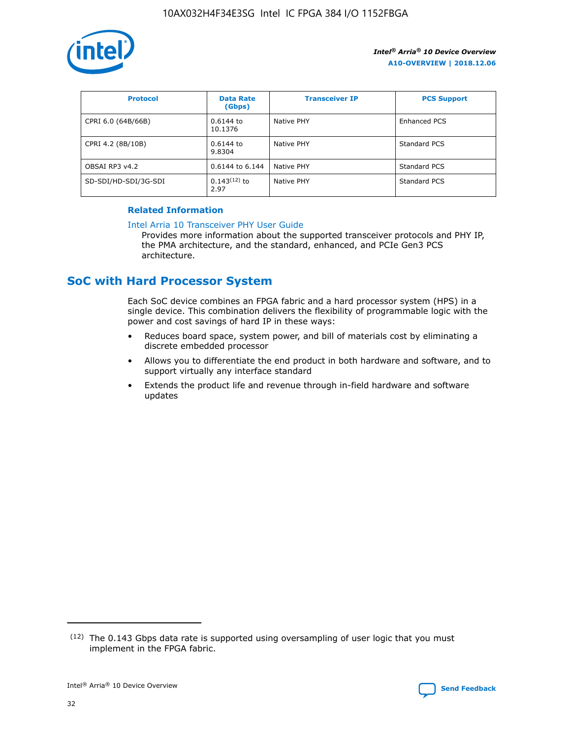

| <b>Protocol</b>      | <b>Data Rate</b><br>(Gbps) | <b>Transceiver IP</b> | <b>PCS Support</b> |
|----------------------|----------------------------|-----------------------|--------------------|
| CPRI 6.0 (64B/66B)   | 0.6144 to<br>10.1376       | Native PHY            | Enhanced PCS       |
| CPRI 4.2 (8B/10B)    | 0.6144 to<br>9.8304        | Native PHY            | Standard PCS       |
| OBSAI RP3 v4.2       | 0.6144 to 6.144            | Native PHY            | Standard PCS       |
| SD-SDI/HD-SDI/3G-SDI | $0.143(12)$ to<br>2.97     | Native PHY            | Standard PCS       |

## **Related Information**

#### [Intel Arria 10 Transceiver PHY User Guide](https://www.intel.com/content/www/us/en/programmable/documentation/nik1398707230472.html#nik1398707091164)

Provides more information about the supported transceiver protocols and PHY IP, the PMA architecture, and the standard, enhanced, and PCIe Gen3 PCS architecture.

# **SoC with Hard Processor System**

Each SoC device combines an FPGA fabric and a hard processor system (HPS) in a single device. This combination delivers the flexibility of programmable logic with the power and cost savings of hard IP in these ways:

- Reduces board space, system power, and bill of materials cost by eliminating a discrete embedded processor
- Allows you to differentiate the end product in both hardware and software, and to support virtually any interface standard
- Extends the product life and revenue through in-field hardware and software updates

 $(12)$  The 0.143 Gbps data rate is supported using oversampling of user logic that you must implement in the FPGA fabric.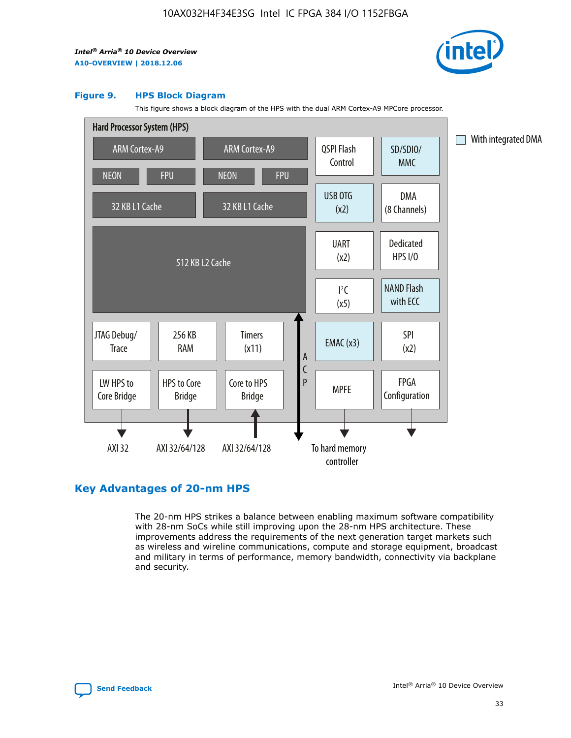

#### **Figure 9. HPS Block Diagram**

This figure shows a block diagram of the HPS with the dual ARM Cortex-A9 MPCore processor.



# **Key Advantages of 20-nm HPS**

The 20-nm HPS strikes a balance between enabling maximum software compatibility with 28-nm SoCs while still improving upon the 28-nm HPS architecture. These improvements address the requirements of the next generation target markets such as wireless and wireline communications, compute and storage equipment, broadcast and military in terms of performance, memory bandwidth, connectivity via backplane and security.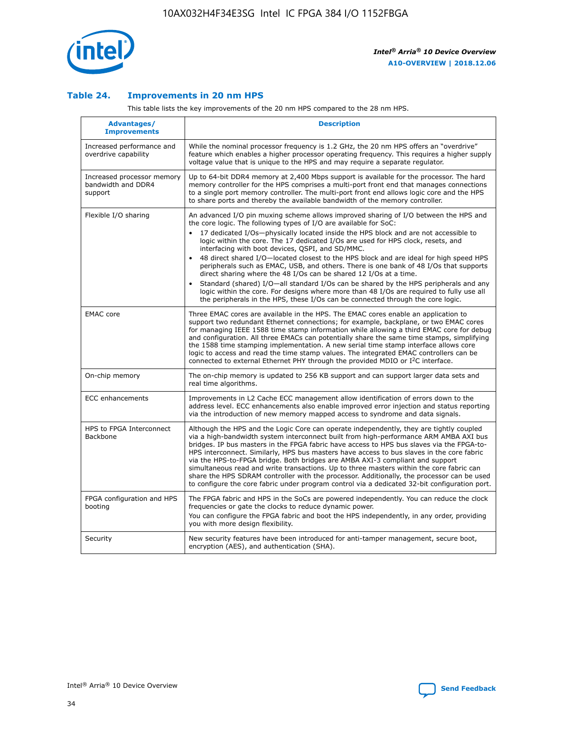

## **Table 24. Improvements in 20 nm HPS**

This table lists the key improvements of the 20 nm HPS compared to the 28 nm HPS.

| Advantages/<br><b>Improvements</b>                          | <b>Description</b>                                                                                                                                                                                                                                                                                                                                                                                                                                                                                                                                                                                                                                                                                                                                                                                                                                                                                                      |
|-------------------------------------------------------------|-------------------------------------------------------------------------------------------------------------------------------------------------------------------------------------------------------------------------------------------------------------------------------------------------------------------------------------------------------------------------------------------------------------------------------------------------------------------------------------------------------------------------------------------------------------------------------------------------------------------------------------------------------------------------------------------------------------------------------------------------------------------------------------------------------------------------------------------------------------------------------------------------------------------------|
| Increased performance and<br>overdrive capability           | While the nominal processor frequency is 1.2 GHz, the 20 nm HPS offers an "overdrive"<br>feature which enables a higher processor operating frequency. This requires a higher supply<br>voltage value that is unique to the HPS and may require a separate regulator.                                                                                                                                                                                                                                                                                                                                                                                                                                                                                                                                                                                                                                                   |
| Increased processor memory<br>bandwidth and DDR4<br>support | Up to 64-bit DDR4 memory at 2,400 Mbps support is available for the processor. The hard<br>memory controller for the HPS comprises a multi-port front end that manages connections<br>to a single port memory controller. The multi-port front end allows logic core and the HPS<br>to share ports and thereby the available bandwidth of the memory controller.                                                                                                                                                                                                                                                                                                                                                                                                                                                                                                                                                        |
| Flexible I/O sharing                                        | An advanced I/O pin muxing scheme allows improved sharing of I/O between the HPS and<br>the core logic. The following types of I/O are available for SoC:<br>17 dedicated I/Os-physically located inside the HPS block and are not accessible to<br>logic within the core. The 17 dedicated I/Os are used for HPS clock, resets, and<br>interfacing with boot devices, QSPI, and SD/MMC.<br>48 direct shared I/O-located closest to the HPS block and are ideal for high speed HPS<br>peripherals such as EMAC, USB, and others. There is one bank of 48 I/Os that supports<br>direct sharing where the 48 I/Os can be shared 12 I/Os at a time.<br>Standard (shared) I/O-all standard I/Os can be shared by the HPS peripherals and any<br>logic within the core. For designs where more than 48 I/Os are required to fully use all<br>the peripherals in the HPS, these I/Os can be connected through the core logic. |
| <b>EMAC</b> core                                            | Three EMAC cores are available in the HPS. The EMAC cores enable an application to<br>support two redundant Ethernet connections; for example, backplane, or two EMAC cores<br>for managing IEEE 1588 time stamp information while allowing a third EMAC core for debug<br>and configuration. All three EMACs can potentially share the same time stamps, simplifying<br>the 1588 time stamping implementation. A new serial time stamp interface allows core<br>logic to access and read the time stamp values. The integrated EMAC controllers can be<br>connected to external Ethernet PHY through the provided MDIO or I <sup>2</sup> C interface.                                                                                                                                                                                                                                                                  |
| On-chip memory                                              | The on-chip memory is updated to 256 KB support and can support larger data sets and<br>real time algorithms.                                                                                                                                                                                                                                                                                                                                                                                                                                                                                                                                                                                                                                                                                                                                                                                                           |
| <b>ECC</b> enhancements                                     | Improvements in L2 Cache ECC management allow identification of errors down to the<br>address level. ECC enhancements also enable improved error injection and status reporting<br>via the introduction of new memory mapped access to syndrome and data signals.                                                                                                                                                                                                                                                                                                                                                                                                                                                                                                                                                                                                                                                       |
| HPS to FPGA Interconnect<br><b>Backbone</b>                 | Although the HPS and the Logic Core can operate independently, they are tightly coupled<br>via a high-bandwidth system interconnect built from high-performance ARM AMBA AXI bus<br>bridges. IP bus masters in the FPGA fabric have access to HPS bus slaves via the FPGA-to-<br>HPS interconnect. Similarly, HPS bus masters have access to bus slaves in the core fabric<br>via the HPS-to-FPGA bridge. Both bridges are AMBA AXI-3 compliant and support<br>simultaneous read and write transactions. Up to three masters within the core fabric can<br>share the HPS SDRAM controller with the processor. Additionally, the processor can be used<br>to configure the core fabric under program control via a dedicated 32-bit configuration port.                                                                                                                                                                  |
| FPGA configuration and HPS<br>booting                       | The FPGA fabric and HPS in the SoCs are powered independently. You can reduce the clock<br>frequencies or gate the clocks to reduce dynamic power.<br>You can configure the FPGA fabric and boot the HPS independently, in any order, providing<br>you with more design flexibility.                                                                                                                                                                                                                                                                                                                                                                                                                                                                                                                                                                                                                                    |
| Security                                                    | New security features have been introduced for anti-tamper management, secure boot,<br>encryption (AES), and authentication (SHA).                                                                                                                                                                                                                                                                                                                                                                                                                                                                                                                                                                                                                                                                                                                                                                                      |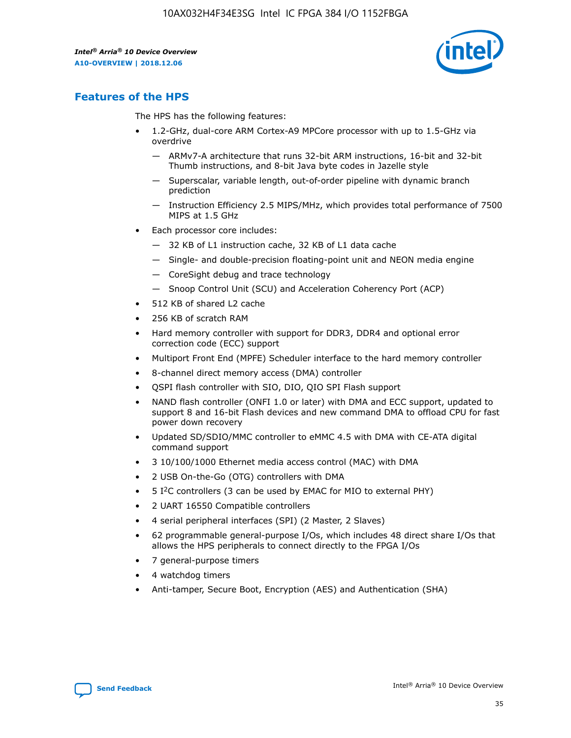

# **Features of the HPS**

The HPS has the following features:

- 1.2-GHz, dual-core ARM Cortex-A9 MPCore processor with up to 1.5-GHz via overdrive
	- ARMv7-A architecture that runs 32-bit ARM instructions, 16-bit and 32-bit Thumb instructions, and 8-bit Java byte codes in Jazelle style
	- Superscalar, variable length, out-of-order pipeline with dynamic branch prediction
	- Instruction Efficiency 2.5 MIPS/MHz, which provides total performance of 7500 MIPS at 1.5 GHz
- Each processor core includes:
	- 32 KB of L1 instruction cache, 32 KB of L1 data cache
	- Single- and double-precision floating-point unit and NEON media engine
	- CoreSight debug and trace technology
	- Snoop Control Unit (SCU) and Acceleration Coherency Port (ACP)
- 512 KB of shared L2 cache
- 256 KB of scratch RAM
- Hard memory controller with support for DDR3, DDR4 and optional error correction code (ECC) support
- Multiport Front End (MPFE) Scheduler interface to the hard memory controller
- 8-channel direct memory access (DMA) controller
- QSPI flash controller with SIO, DIO, QIO SPI Flash support
- NAND flash controller (ONFI 1.0 or later) with DMA and ECC support, updated to support 8 and 16-bit Flash devices and new command DMA to offload CPU for fast power down recovery
- Updated SD/SDIO/MMC controller to eMMC 4.5 with DMA with CE-ATA digital command support
- 3 10/100/1000 Ethernet media access control (MAC) with DMA
- 2 USB On-the-Go (OTG) controllers with DMA
- $\bullet$  5 I<sup>2</sup>C controllers (3 can be used by EMAC for MIO to external PHY)
- 2 UART 16550 Compatible controllers
- 4 serial peripheral interfaces (SPI) (2 Master, 2 Slaves)
- 62 programmable general-purpose I/Os, which includes 48 direct share I/Os that allows the HPS peripherals to connect directly to the FPGA I/Os
- 7 general-purpose timers
- 4 watchdog timers
- Anti-tamper, Secure Boot, Encryption (AES) and Authentication (SHA)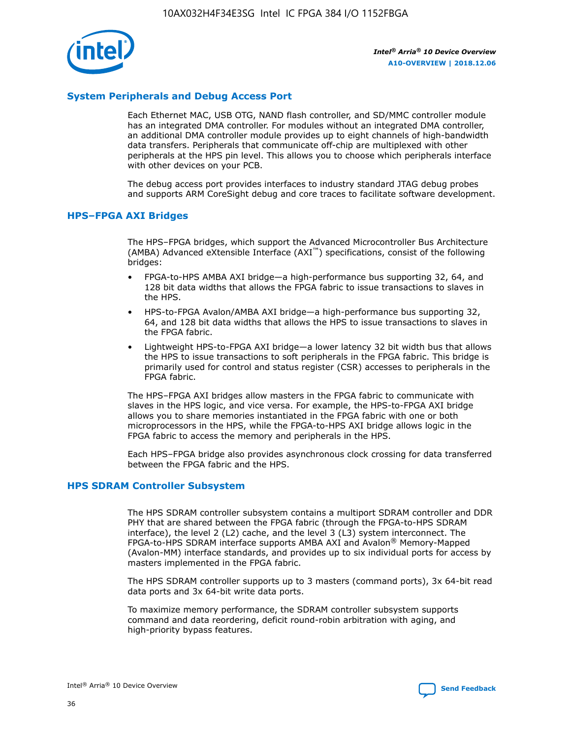

# **System Peripherals and Debug Access Port**

Each Ethernet MAC, USB OTG, NAND flash controller, and SD/MMC controller module has an integrated DMA controller. For modules without an integrated DMA controller, an additional DMA controller module provides up to eight channels of high-bandwidth data transfers. Peripherals that communicate off-chip are multiplexed with other peripherals at the HPS pin level. This allows you to choose which peripherals interface with other devices on your PCB.

The debug access port provides interfaces to industry standard JTAG debug probes and supports ARM CoreSight debug and core traces to facilitate software development.

## **HPS–FPGA AXI Bridges**

The HPS–FPGA bridges, which support the Advanced Microcontroller Bus Architecture (AMBA) Advanced eXtensible Interface (AXI™) specifications, consist of the following bridges:

- FPGA-to-HPS AMBA AXI bridge—a high-performance bus supporting 32, 64, and 128 bit data widths that allows the FPGA fabric to issue transactions to slaves in the HPS.
- HPS-to-FPGA Avalon/AMBA AXI bridge—a high-performance bus supporting 32, 64, and 128 bit data widths that allows the HPS to issue transactions to slaves in the FPGA fabric.
- Lightweight HPS-to-FPGA AXI bridge—a lower latency 32 bit width bus that allows the HPS to issue transactions to soft peripherals in the FPGA fabric. This bridge is primarily used for control and status register (CSR) accesses to peripherals in the FPGA fabric.

The HPS–FPGA AXI bridges allow masters in the FPGA fabric to communicate with slaves in the HPS logic, and vice versa. For example, the HPS-to-FPGA AXI bridge allows you to share memories instantiated in the FPGA fabric with one or both microprocessors in the HPS, while the FPGA-to-HPS AXI bridge allows logic in the FPGA fabric to access the memory and peripherals in the HPS.

Each HPS–FPGA bridge also provides asynchronous clock crossing for data transferred between the FPGA fabric and the HPS.

## **HPS SDRAM Controller Subsystem**

The HPS SDRAM controller subsystem contains a multiport SDRAM controller and DDR PHY that are shared between the FPGA fabric (through the FPGA-to-HPS SDRAM interface), the level 2 (L2) cache, and the level 3 (L3) system interconnect. The FPGA-to-HPS SDRAM interface supports AMBA AXI and Avalon® Memory-Mapped (Avalon-MM) interface standards, and provides up to six individual ports for access by masters implemented in the FPGA fabric.

The HPS SDRAM controller supports up to 3 masters (command ports), 3x 64-bit read data ports and 3x 64-bit write data ports.

To maximize memory performance, the SDRAM controller subsystem supports command and data reordering, deficit round-robin arbitration with aging, and high-priority bypass features.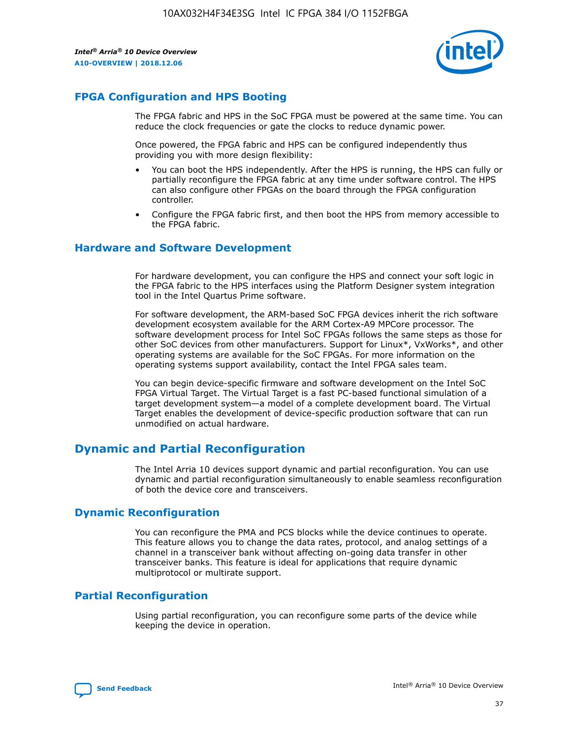

# **FPGA Configuration and HPS Booting**

The FPGA fabric and HPS in the SoC FPGA must be powered at the same time. You can reduce the clock frequencies or gate the clocks to reduce dynamic power.

Once powered, the FPGA fabric and HPS can be configured independently thus providing you with more design flexibility:

- You can boot the HPS independently. After the HPS is running, the HPS can fully or partially reconfigure the FPGA fabric at any time under software control. The HPS can also configure other FPGAs on the board through the FPGA configuration controller.
- Configure the FPGA fabric first, and then boot the HPS from memory accessible to the FPGA fabric.

## **Hardware and Software Development**

For hardware development, you can configure the HPS and connect your soft logic in the FPGA fabric to the HPS interfaces using the Platform Designer system integration tool in the Intel Quartus Prime software.

For software development, the ARM-based SoC FPGA devices inherit the rich software development ecosystem available for the ARM Cortex-A9 MPCore processor. The software development process for Intel SoC FPGAs follows the same steps as those for other SoC devices from other manufacturers. Support for Linux\*, VxWorks\*, and other operating systems are available for the SoC FPGAs. For more information on the operating systems support availability, contact the Intel FPGA sales team.

You can begin device-specific firmware and software development on the Intel SoC FPGA Virtual Target. The Virtual Target is a fast PC-based functional simulation of a target development system—a model of a complete development board. The Virtual Target enables the development of device-specific production software that can run unmodified on actual hardware.

# **Dynamic and Partial Reconfiguration**

The Intel Arria 10 devices support dynamic and partial reconfiguration. You can use dynamic and partial reconfiguration simultaneously to enable seamless reconfiguration of both the device core and transceivers.

# **Dynamic Reconfiguration**

You can reconfigure the PMA and PCS blocks while the device continues to operate. This feature allows you to change the data rates, protocol, and analog settings of a channel in a transceiver bank without affecting on-going data transfer in other transceiver banks. This feature is ideal for applications that require dynamic multiprotocol or multirate support.

# **Partial Reconfiguration**

Using partial reconfiguration, you can reconfigure some parts of the device while keeping the device in operation.

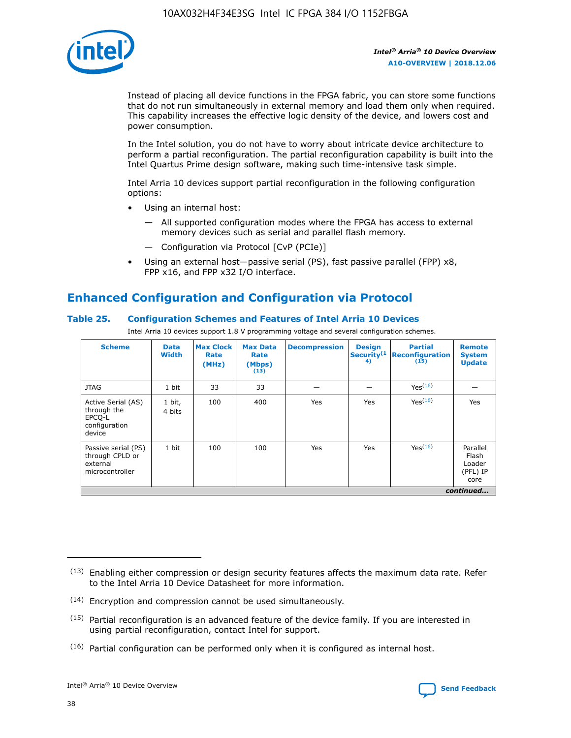

Instead of placing all device functions in the FPGA fabric, you can store some functions that do not run simultaneously in external memory and load them only when required. This capability increases the effective logic density of the device, and lowers cost and power consumption.

In the Intel solution, you do not have to worry about intricate device architecture to perform a partial reconfiguration. The partial reconfiguration capability is built into the Intel Quartus Prime design software, making such time-intensive task simple.

Intel Arria 10 devices support partial reconfiguration in the following configuration options:

- Using an internal host:
	- All supported configuration modes where the FPGA has access to external memory devices such as serial and parallel flash memory.
	- Configuration via Protocol [CvP (PCIe)]
- Using an external host—passive serial (PS), fast passive parallel (FPP) x8, FPP x16, and FPP x32 I/O interface.

# **Enhanced Configuration and Configuration via Protocol**

## **Table 25. Configuration Schemes and Features of Intel Arria 10 Devices**

Intel Arria 10 devices support 1.8 V programming voltage and several configuration schemes.

| <b>Scheme</b>                                                          | <b>Data</b><br><b>Width</b> | <b>Max Clock</b><br>Rate<br>(MHz) | <b>Max Data</b><br>Rate<br>(Mbps)<br>(13) | <b>Decompression</b> | <b>Design</b><br>Security <sup>(1</sup><br>4) | <b>Partial</b><br>Reconfiguration<br>(15) | <b>Remote</b><br><b>System</b><br><b>Update</b> |
|------------------------------------------------------------------------|-----------------------------|-----------------------------------|-------------------------------------------|----------------------|-----------------------------------------------|-------------------------------------------|-------------------------------------------------|
| <b>JTAG</b>                                                            | 1 bit                       | 33                                | 33                                        |                      |                                               | Yes <sup>(16)</sup>                       |                                                 |
| Active Serial (AS)<br>through the<br>EPCO-L<br>configuration<br>device | 1 bit,<br>4 bits            | 100                               | 400                                       | Yes                  | Yes                                           | $Y_{PS}(16)$                              | Yes                                             |
| Passive serial (PS)<br>through CPLD or<br>external<br>microcontroller  | 1 bit                       | 100                               | 100                                       | Yes                  | Yes                                           | Yes(16)                                   | Parallel<br>Flash<br>Loader<br>(PFL) IP<br>core |
|                                                                        |                             |                                   |                                           |                      |                                               |                                           | continued                                       |

<sup>(13)</sup> Enabling either compression or design security features affects the maximum data rate. Refer to the Intel Arria 10 Device Datasheet for more information.

<sup>(14)</sup> Encryption and compression cannot be used simultaneously.

 $<sup>(15)</sup>$  Partial reconfiguration is an advanced feature of the device family. If you are interested in</sup> using partial reconfiguration, contact Intel for support.

 $(16)$  Partial configuration can be performed only when it is configured as internal host.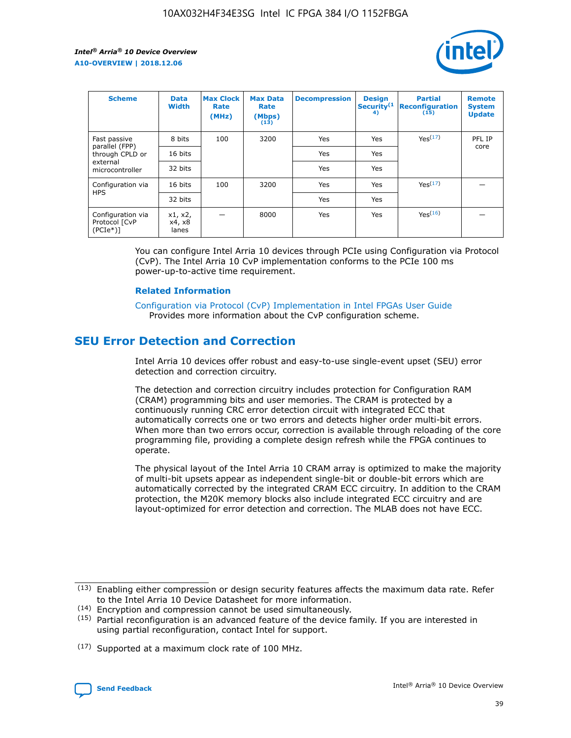

| <b>Scheme</b>                                   | <b>Data</b><br><b>Width</b> | <b>Max Clock</b><br>Rate<br>(MHz) | <b>Max Data</b><br>Rate<br>(Mbps)<br>(13) | <b>Decompression</b> | <b>Design</b><br>Security <sup>(1</sup><br>4) | <b>Partial</b><br><b>Reconfiguration</b><br>(15) | <b>Remote</b><br><b>System</b><br><b>Update</b> |
|-------------------------------------------------|-----------------------------|-----------------------------------|-------------------------------------------|----------------------|-----------------------------------------------|--------------------------------------------------|-------------------------------------------------|
| Fast passive                                    | 8 bits                      | 100                               | 3200                                      | Yes                  | Yes                                           | Yes(17)                                          | PFL IP                                          |
| parallel (FPP)<br>through CPLD or               | 16 bits                     |                                   |                                           | Yes                  | Yes                                           |                                                  | core                                            |
| external<br>microcontroller                     | 32 bits                     |                                   |                                           | Yes                  | Yes                                           |                                                  |                                                 |
| Configuration via                               | 16 bits                     | 100                               | 3200                                      | Yes                  | Yes                                           | Yes <sup>(17)</sup>                              |                                                 |
| <b>HPS</b>                                      | 32 bits                     |                                   |                                           | Yes                  | Yes                                           |                                                  |                                                 |
| Configuration via<br>Protocol [CvP<br>$(PCIe*)$ | x1, x2,<br>x4, x8<br>lanes  |                                   | 8000                                      | Yes                  | Yes                                           | Yes <sup>(16)</sup>                              |                                                 |

You can configure Intel Arria 10 devices through PCIe using Configuration via Protocol (CvP). The Intel Arria 10 CvP implementation conforms to the PCIe 100 ms power-up-to-active time requirement.

#### **Related Information**

[Configuration via Protocol \(CvP\) Implementation in Intel FPGAs User Guide](https://www.intel.com/content/www/us/en/programmable/documentation/dsu1441819344145.html#dsu1442269728522) Provides more information about the CvP configuration scheme.

# **SEU Error Detection and Correction**

Intel Arria 10 devices offer robust and easy-to-use single-event upset (SEU) error detection and correction circuitry.

The detection and correction circuitry includes protection for Configuration RAM (CRAM) programming bits and user memories. The CRAM is protected by a continuously running CRC error detection circuit with integrated ECC that automatically corrects one or two errors and detects higher order multi-bit errors. When more than two errors occur, correction is available through reloading of the core programming file, providing a complete design refresh while the FPGA continues to operate.

The physical layout of the Intel Arria 10 CRAM array is optimized to make the majority of multi-bit upsets appear as independent single-bit or double-bit errors which are automatically corrected by the integrated CRAM ECC circuitry. In addition to the CRAM protection, the M20K memory blocks also include integrated ECC circuitry and are layout-optimized for error detection and correction. The MLAB does not have ECC.

(14) Encryption and compression cannot be used simultaneously.

<sup>(17)</sup> Supported at a maximum clock rate of 100 MHz.



 $(13)$  Enabling either compression or design security features affects the maximum data rate. Refer to the Intel Arria 10 Device Datasheet for more information.

 $(15)$  Partial reconfiguration is an advanced feature of the device family. If you are interested in using partial reconfiguration, contact Intel for support.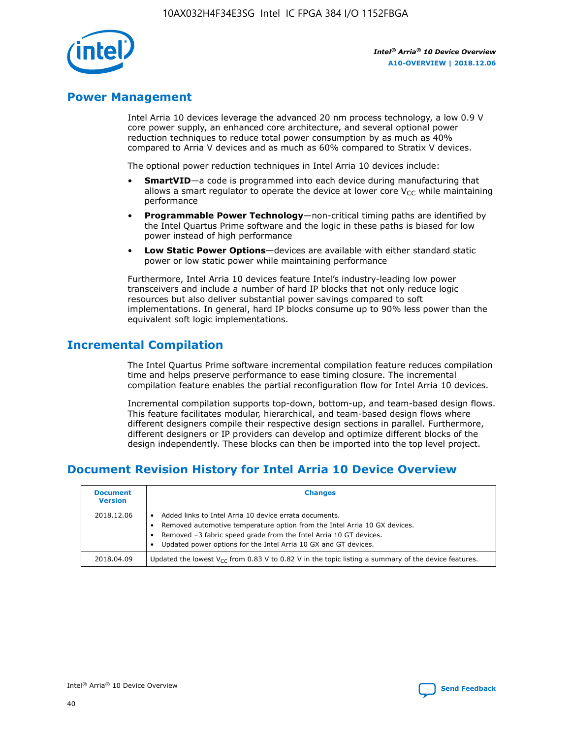

# **Power Management**

Intel Arria 10 devices leverage the advanced 20 nm process technology, a low 0.9 V core power supply, an enhanced core architecture, and several optional power reduction techniques to reduce total power consumption by as much as 40% compared to Arria V devices and as much as 60% compared to Stratix V devices.

The optional power reduction techniques in Intel Arria 10 devices include:

- **SmartVID**—a code is programmed into each device during manufacturing that allows a smart regulator to operate the device at lower core  $V_{CC}$  while maintaining performance
- **Programmable Power Technology**—non-critical timing paths are identified by the Intel Quartus Prime software and the logic in these paths is biased for low power instead of high performance
- **Low Static Power Options**—devices are available with either standard static power or low static power while maintaining performance

Furthermore, Intel Arria 10 devices feature Intel's industry-leading low power transceivers and include a number of hard IP blocks that not only reduce logic resources but also deliver substantial power savings compared to soft implementations. In general, hard IP blocks consume up to 90% less power than the equivalent soft logic implementations.

# **Incremental Compilation**

The Intel Quartus Prime software incremental compilation feature reduces compilation time and helps preserve performance to ease timing closure. The incremental compilation feature enables the partial reconfiguration flow for Intel Arria 10 devices.

Incremental compilation supports top-down, bottom-up, and team-based design flows. This feature facilitates modular, hierarchical, and team-based design flows where different designers compile their respective design sections in parallel. Furthermore, different designers or IP providers can develop and optimize different blocks of the design independently. These blocks can then be imported into the top level project.

# **Document Revision History for Intel Arria 10 Device Overview**

| <b>Document</b><br><b>Version</b> | <b>Changes</b>                                                                                                                                                                                                                                                              |
|-----------------------------------|-----------------------------------------------------------------------------------------------------------------------------------------------------------------------------------------------------------------------------------------------------------------------------|
| 2018.12.06                        | Added links to Intel Arria 10 device errata documents.<br>Removed automotive temperature option from the Intel Arria 10 GX devices.<br>Removed -3 fabric speed grade from the Intel Arria 10 GT devices.<br>Updated power options for the Intel Arria 10 GX and GT devices. |
| 2018.04.09                        | Updated the lowest $V_{CC}$ from 0.83 V to 0.82 V in the topic listing a summary of the device features.                                                                                                                                                                    |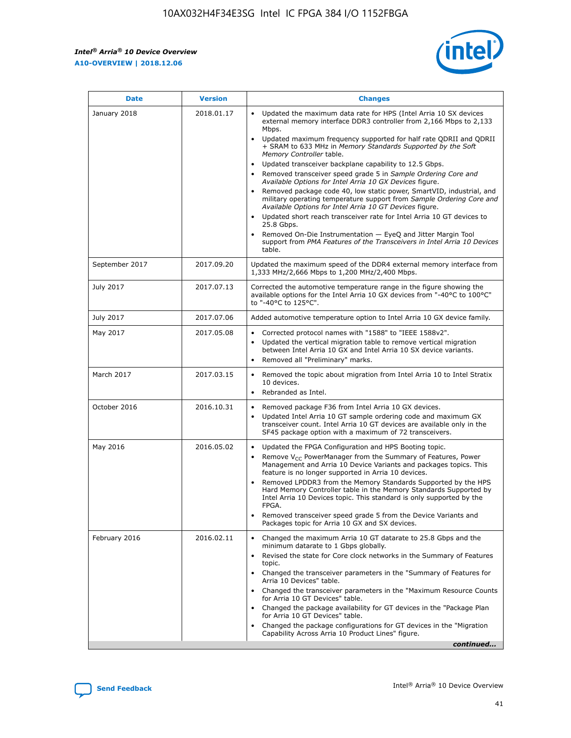

| <b>Date</b>    | <b>Version</b> | <b>Changes</b>                                                                                                                                                                                                                                                                                                                                                                                                                                                                                                                                                                                                                                                                                                                                                                                                                                                                                                                                               |
|----------------|----------------|--------------------------------------------------------------------------------------------------------------------------------------------------------------------------------------------------------------------------------------------------------------------------------------------------------------------------------------------------------------------------------------------------------------------------------------------------------------------------------------------------------------------------------------------------------------------------------------------------------------------------------------------------------------------------------------------------------------------------------------------------------------------------------------------------------------------------------------------------------------------------------------------------------------------------------------------------------------|
| January 2018   | 2018.01.17     | Updated the maximum data rate for HPS (Intel Arria 10 SX devices<br>external memory interface DDR3 controller from 2,166 Mbps to 2,133<br>Mbps.<br>Updated maximum frequency supported for half rate QDRII and QDRII<br>+ SRAM to 633 MHz in Memory Standards Supported by the Soft<br>Memory Controller table.<br>Updated transceiver backplane capability to 12.5 Gbps.<br>Removed transceiver speed grade 5 in Sample Ordering Core and<br>Available Options for Intel Arria 10 GX Devices figure.<br>Removed package code 40, low static power, SmartVID, industrial, and<br>military operating temperature support from Sample Ordering Core and<br>Available Options for Intel Arria 10 GT Devices figure.<br>Updated short reach transceiver rate for Intel Arria 10 GT devices to<br>25.8 Gbps.<br>Removed On-Die Instrumentation - EyeQ and Jitter Margin Tool<br>support from PMA Features of the Transceivers in Intel Arria 10 Devices<br>table. |
| September 2017 | 2017.09.20     | Updated the maximum speed of the DDR4 external memory interface from<br>1,333 MHz/2,666 Mbps to 1,200 MHz/2,400 Mbps.                                                                                                                                                                                                                                                                                                                                                                                                                                                                                                                                                                                                                                                                                                                                                                                                                                        |
| July 2017      | 2017.07.13     | Corrected the automotive temperature range in the figure showing the<br>available options for the Intel Arria 10 GX devices from "-40°C to 100°C"<br>to "-40°C to 125°C".                                                                                                                                                                                                                                                                                                                                                                                                                                                                                                                                                                                                                                                                                                                                                                                    |
| July 2017      | 2017.07.06     | Added automotive temperature option to Intel Arria 10 GX device family.                                                                                                                                                                                                                                                                                                                                                                                                                                                                                                                                                                                                                                                                                                                                                                                                                                                                                      |
| May 2017       | 2017.05.08     | Corrected protocol names with "1588" to "IEEE 1588v2".<br>Updated the vertical migration table to remove vertical migration<br>$\bullet$<br>between Intel Arria 10 GX and Intel Arria 10 SX device variants.<br>Removed all "Preliminary" marks.                                                                                                                                                                                                                                                                                                                                                                                                                                                                                                                                                                                                                                                                                                             |
| March 2017     | 2017.03.15     | Removed the topic about migration from Intel Arria 10 to Intel Stratix<br>10 devices.<br>Rebranded as Intel.<br>$\bullet$                                                                                                                                                                                                                                                                                                                                                                                                                                                                                                                                                                                                                                                                                                                                                                                                                                    |
| October 2016   | 2016.10.31     | Removed package F36 from Intel Arria 10 GX devices.<br>Updated Intel Arria 10 GT sample ordering code and maximum GX<br>$\bullet$<br>transceiver count. Intel Arria 10 GT devices are available only in the<br>SF45 package option with a maximum of 72 transceivers.                                                                                                                                                                                                                                                                                                                                                                                                                                                                                                                                                                                                                                                                                        |
| May 2016       | 2016.05.02     | Updated the FPGA Configuration and HPS Booting topic.<br>$\bullet$<br>Remove V <sub>CC</sub> PowerManager from the Summary of Features, Power<br>Management and Arria 10 Device Variants and packages topics. This<br>feature is no longer supported in Arria 10 devices.<br>Removed LPDDR3 from the Memory Standards Supported by the HPS<br>Hard Memory Controller table in the Memory Standards Supported by<br>Intel Arria 10 Devices topic. This standard is only supported by the<br>FPGA.<br>Removed transceiver speed grade 5 from the Device Variants and<br>Packages topic for Arria 10 GX and SX devices.                                                                                                                                                                                                                                                                                                                                         |
| February 2016  | 2016.02.11     | Changed the maximum Arria 10 GT datarate to 25.8 Gbps and the<br>minimum datarate to 1 Gbps globally.<br>Revised the state for Core clock networks in the Summary of Features<br>topic.<br>Changed the transceiver parameters in the "Summary of Features for<br>Arria 10 Devices" table.<br>Changed the transceiver parameters in the "Maximum Resource Counts"<br>for Arria 10 GT Devices" table.<br>Changed the package availability for GT devices in the "Package Plan<br>for Arria 10 GT Devices" table.<br>Changed the package configurations for GT devices in the "Migration"<br>Capability Across Arria 10 Product Lines" figure.<br>continued                                                                                                                                                                                                                                                                                                     |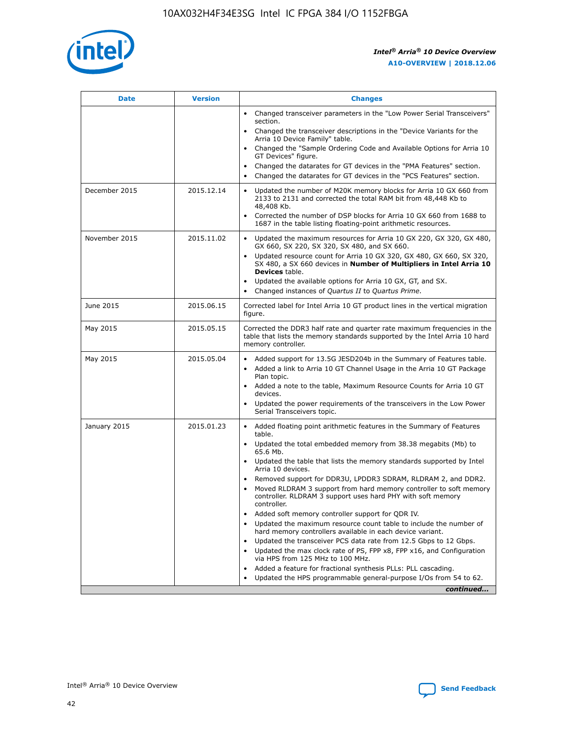

| <b>Date</b>   | <b>Version</b> | <b>Changes</b>                                                                                                                                                               |
|---------------|----------------|------------------------------------------------------------------------------------------------------------------------------------------------------------------------------|
|               |                | • Changed transceiver parameters in the "Low Power Serial Transceivers"<br>section.                                                                                          |
|               |                | • Changed the transceiver descriptions in the "Device Variants for the<br>Arria 10 Device Family" table.                                                                     |
|               |                | Changed the "Sample Ordering Code and Available Options for Arria 10<br>$\bullet$<br>GT Devices" figure.                                                                     |
|               |                | Changed the datarates for GT devices in the "PMA Features" section.                                                                                                          |
|               |                | Changed the datarates for GT devices in the "PCS Features" section.<br>$\bullet$                                                                                             |
| December 2015 | 2015.12.14     | Updated the number of M20K memory blocks for Arria 10 GX 660 from<br>2133 to 2131 and corrected the total RAM bit from 48,448 Kb to<br>48,408 Kb.                            |
|               |                | Corrected the number of DSP blocks for Arria 10 GX 660 from 1688 to<br>1687 in the table listing floating-point arithmetic resources.                                        |
| November 2015 | 2015.11.02     | Updated the maximum resources for Arria 10 GX 220, GX 320, GX 480,<br>$\bullet$<br>GX 660, SX 220, SX 320, SX 480, and SX 660.                                               |
|               |                | • Updated resource count for Arria 10 GX 320, GX 480, GX 660, SX 320,<br>SX 480, a SX 660 devices in Number of Multipliers in Intel Arria 10<br><b>Devices</b> table.        |
|               |                | Updated the available options for Arria 10 GX, GT, and SX.                                                                                                                   |
|               |                | Changed instances of Quartus II to Quartus Prime.<br>$\bullet$                                                                                                               |
| June 2015     | 2015.06.15     | Corrected label for Intel Arria 10 GT product lines in the vertical migration<br>figure.                                                                                     |
| May 2015      | 2015.05.15     | Corrected the DDR3 half rate and quarter rate maximum frequencies in the<br>table that lists the memory standards supported by the Intel Arria 10 hard<br>memory controller. |
| May 2015      | 2015.05.04     | • Added support for 13.5G JESD204b in the Summary of Features table.<br>• Added a link to Arria 10 GT Channel Usage in the Arria 10 GT Package<br>Plan topic.                |
|               |                | • Added a note to the table, Maximum Resource Counts for Arria 10 GT<br>devices.                                                                                             |
|               |                | • Updated the power requirements of the transceivers in the Low Power<br>Serial Transceivers topic.                                                                          |
| January 2015  | 2015.01.23     | • Added floating point arithmetic features in the Summary of Features<br>table.                                                                                              |
|               |                | • Updated the total embedded memory from 38.38 megabits (Mb) to<br>65.6 Mb.                                                                                                  |
|               |                | • Updated the table that lists the memory standards supported by Intel<br>Arria 10 devices.                                                                                  |
|               |                | Removed support for DDR3U, LPDDR3 SDRAM, RLDRAM 2, and DDR2.                                                                                                                 |
|               |                | Moved RLDRAM 3 support from hard memory controller to soft memory<br>controller. RLDRAM 3 support uses hard PHY with soft memory<br>controller.                              |
|               |                | Added soft memory controller support for QDR IV.<br>٠                                                                                                                        |
|               |                | Updated the maximum resource count table to include the number of<br>hard memory controllers available in each device variant.                                               |
|               |                | Updated the transceiver PCS data rate from 12.5 Gbps to 12 Gbps.<br>$\bullet$                                                                                                |
|               |                | Updated the max clock rate of PS, FPP x8, FPP x16, and Configuration<br>via HPS from 125 MHz to 100 MHz.                                                                     |
|               |                | Added a feature for fractional synthesis PLLs: PLL cascading.                                                                                                                |
|               |                | Updated the HPS programmable general-purpose I/Os from 54 to 62.<br>$\bullet$<br>continued                                                                                   |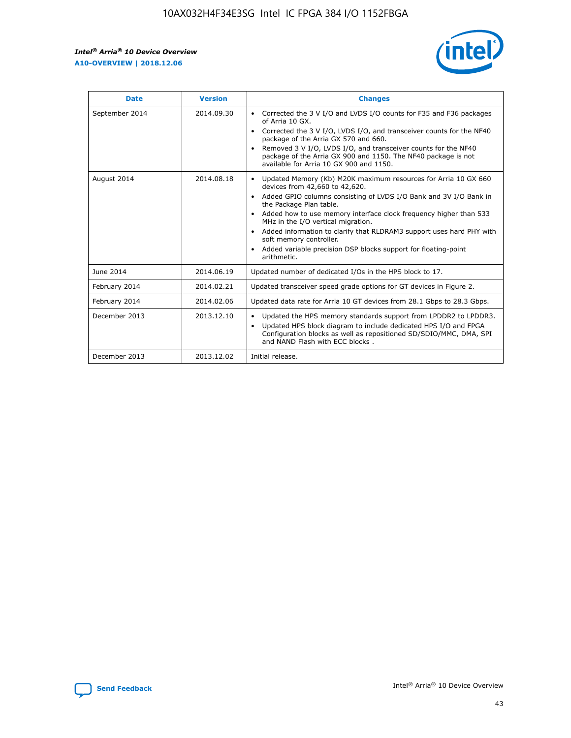r



| <b>Date</b>    | <b>Version</b> | <b>Changes</b>                                                                                                                                                                                                                                                                                                                                                                                                                                                                                                                         |
|----------------|----------------|----------------------------------------------------------------------------------------------------------------------------------------------------------------------------------------------------------------------------------------------------------------------------------------------------------------------------------------------------------------------------------------------------------------------------------------------------------------------------------------------------------------------------------------|
| September 2014 | 2014.09.30     | Corrected the 3 V I/O and LVDS I/O counts for F35 and F36 packages<br>of Arria 10 GX.<br>Corrected the 3 V I/O, LVDS I/O, and transceiver counts for the NF40<br>$\bullet$<br>package of the Arria GX 570 and 660.<br>Removed 3 V I/O, LVDS I/O, and transceiver counts for the NF40<br>package of the Arria GX 900 and 1150. The NF40 package is not<br>available for Arria 10 GX 900 and 1150.                                                                                                                                       |
| August 2014    | 2014.08.18     | Updated Memory (Kb) M20K maximum resources for Arria 10 GX 660<br>devices from 42,660 to 42,620.<br>Added GPIO columns consisting of LVDS I/O Bank and 3V I/O Bank in<br>$\bullet$<br>the Package Plan table.<br>Added how to use memory interface clock frequency higher than 533<br>$\bullet$<br>MHz in the I/O vertical migration.<br>Added information to clarify that RLDRAM3 support uses hard PHY with<br>$\bullet$<br>soft memory controller.<br>Added variable precision DSP blocks support for floating-point<br>arithmetic. |
| June 2014      | 2014.06.19     | Updated number of dedicated I/Os in the HPS block to 17.                                                                                                                                                                                                                                                                                                                                                                                                                                                                               |
| February 2014  | 2014.02.21     | Updated transceiver speed grade options for GT devices in Figure 2.                                                                                                                                                                                                                                                                                                                                                                                                                                                                    |
| February 2014  | 2014.02.06     | Updated data rate for Arria 10 GT devices from 28.1 Gbps to 28.3 Gbps.                                                                                                                                                                                                                                                                                                                                                                                                                                                                 |
| December 2013  | 2013.12.10     | Updated the HPS memory standards support from LPDDR2 to LPDDR3.<br>Updated HPS block diagram to include dedicated HPS I/O and FPGA<br>$\bullet$<br>Configuration blocks as well as repositioned SD/SDIO/MMC, DMA, SPI<br>and NAND Flash with ECC blocks.                                                                                                                                                                                                                                                                               |
| December 2013  | 2013.12.02     | Initial release.                                                                                                                                                                                                                                                                                                                                                                                                                                                                                                                       |